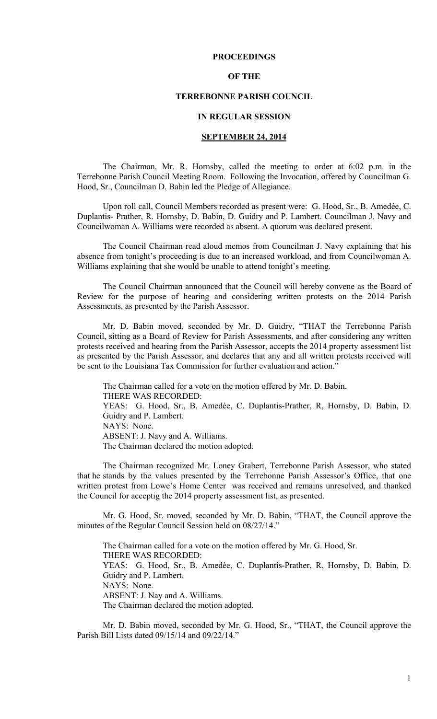## **PROCEEDINGS**

## **OF THE**

## **TERREBONNE PARISH COUNCIL**

## **IN REGULAR SESSION**

## **SEPTEMBER 24, 2014**

 The Chairman, Mr. R. Hornsby, called the meeting to order at 6:02 p.m. in the Terrebonne Parish Council Meeting Room. Following the Invocation, offered by Councilman G. Hood, Sr., Councilman D. Babin led the Pledge of Allegiance.

Upon roll call, Council Members recorded as present were: G. Hood, Sr., B. Amedée, C. Duplantis- Prather, R. Hornsby, D. Babin, D. Guidry and P. Lambert. Councilman J. Navy and Councilwoman A. Williams were recorded as absent. A quorum was declared present.

The Council Chairman read aloud memos from Councilman J. Navy explaining that his absence from tonight's proceeding is due to an increased workload, and from Councilwoman A. Williams explaining that she would be unable to attend tonight's meeting.

The Council Chairman announced that the Council will hereby convene as the Board of Review for the purpose of hearing and considering written protests on the 2014 Parish Assessments, as presented by the Parish Assessor.

Mr. D. Babin moved, seconded by Mr. D. Guidry, "THAT the Terrebonne Parish Council, sitting as a Board of Review for Parish Assessments, and after considering any written protests received and hearing from the Parish Assessor, accepts the 2014 property assessment list as presented by the Parish Assessor, and declares that any and all written protests received will be sent to the Louisiana Tax Commission for further evaluation and action."

The Chairman called for a vote on the motion offered by Mr. D. Babin. THERE WAS RECORDED: YEAS: G. Hood, Sr., B. Amedèe, C. Duplantis-Prather, R, Hornsby, D. Babin, D. Guidry and P. Lambert. NAYS: None. ABSENT: J. Navy and A. Williams. The Chairman declared the motion adopted.

The Chairman recognized Mr. Loney Grabert, Terrebonne Parish Assessor, who stated that he stands by the values presented by the Terrebonne Parish Assessor's Office, that one written protest from Lowe's Home Center was received and remains unresolved, and thanked the Council for acceptig the 2014 property assessment list, as presented.

Mr. G. Hood, Sr. moved, seconded by Mr. D. Babin, "THAT, the Council approve the minutes of the Regular Council Session held on 08/27/14."

The Chairman called for a vote on the motion offered by Mr. G. Hood, Sr. THERE WAS RECORDED: YEAS: G. Hood, Sr., B. Amedèe, C. Duplantis-Prather, R, Hornsby, D. Babin, D. Guidry and P. Lambert. NAYS: None. ABSENT: J. Nay and A. Williams. The Chairman declared the motion adopted.

Mr. D. Babin moved, seconded by Mr. G. Hood, Sr., "THAT, the Council approve the Parish Bill Lists dated 09/15/14 and 09/22/14."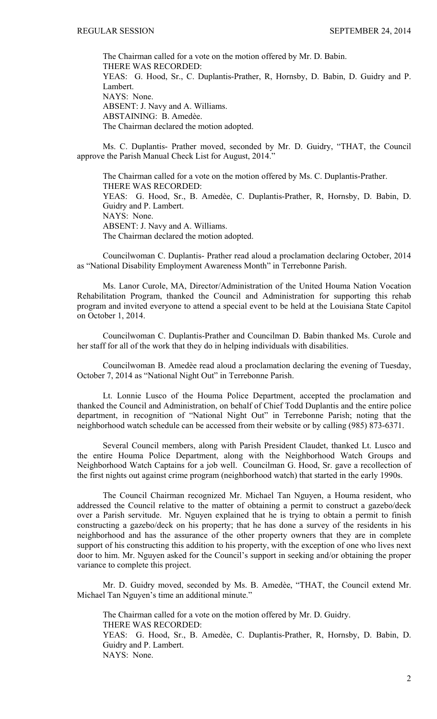The Chairman called for a vote on the motion offered by Mr. D. Babin. THERE WAS RECORDED: YEAS: G. Hood, Sr., C. Duplantis-Prather, R, Hornsby, D. Babin, D. Guidry and P. Lambert. NAYS: None. ABSENT: J. Navy and A. Williams. ABSTAINING: B. Amedèe. The Chairman declared the motion adopted.

Ms. C. Duplantis- Prather moved, seconded by Mr. D. Guidry, "THAT, the Council approve the Parish Manual Check List for August, 2014."

The Chairman called for a vote on the motion offered by Ms. C. Duplantis-Prather. THERE WAS RECORDED: YEAS: G. Hood, Sr., B. Amedèe, C. Duplantis-Prather, R, Hornsby, D. Babin, D. Guidry and P. Lambert. NAYS: None. ABSENT: J. Navy and A. Williams. The Chairman declared the motion adopted.

Councilwoman C. Duplantis- Prather read aloud a proclamation declaring October, 2014 as "National Disability Employment Awareness Month" in Terrebonne Parish.

Ms. Lanor Curole, MA, Director/Administration of the United Houma Nation Vocation Rehabilitation Program, thanked the Council and Administration for supporting this rehab program and invited everyone to attend a special event to be held at the Louisiana State Capitol on October 1, 2014.

Councilwoman C. Duplantis-Prather and Councilman D. Babin thanked Ms. Curole and her staff for all of the work that they do in helping individuals with disabilities.

Councilwoman B. Amedѐe read aloud a proclamation declaring the evening of Tuesday, October 7, 2014 as "National Night Out" in Terrebonne Parish.

 Lt. Lonnie Lusco of the Houma Police Department, accepted the proclamation and thanked the Council and Administration, on behalf of Chief Todd Duplantis and the entire police department, in recognition of "National Night Out" in Terrebonne Parish; noting that the neighborhood watch schedule can be accessed from their website or by calling (985) 873-6371.

 Several Council members, along with Parish President Claudet, thanked Lt. Lusco and the entire Houma Police Department, along with the Neighborhood Watch Groups and Neighborhood Watch Captains for a job well. Councilman G. Hood, Sr. gave a recollection of the first nights out against crime program (neighborhood watch) that started in the early 1990s.

 The Council Chairman recognized Mr. Michael Tan Nguyen, a Houma resident, who addressed the Council relative to the matter of obtaining a permit to construct a gazebo/deck over a Parish servitude. Mr. Nguyen explained that he is trying to obtain a permit to finish constructing a gazebo/deck on his property; that he has done a survey of the residents in his neighborhood and has the assurance of the other property owners that they are in complete support of his constructing this addition to his property, with the exception of one who lives next door to him. Mr. Nguyen asked for the Council's support in seeking and/or obtaining the proper variance to complete this project.

Mr. D. Guidry moved, seconded by Ms. B. Amedѐe, "THAT, the Council extend Mr. Michael Tan Nguyen's time an additional minute."

The Chairman called for a vote on the motion offered by Mr. D. Guidry. THERE WAS RECORDED: YEAS: G. Hood, Sr., B. Amedѐe, C. Duplantis-Prather, R, Hornsby, D. Babin, D. Guidry and P. Lambert. NAYS: None.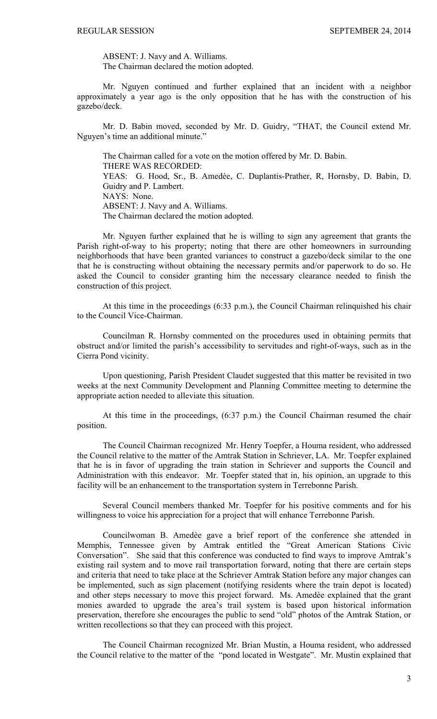ABSENT: J. Navy and A. Williams. The Chairman declared the motion adopted.

Mr. Nguyen continued and further explained that an incident with a neighbor approximately a year ago is the only opposition that he has with the construction of his gazebo/deck.

Mr. D. Babin moved, seconded by Mr. D. Guidry, "THAT, the Council extend Mr. Nguyen's time an additional minute."

The Chairman called for a vote on the motion offered by Mr. D. Babin. THERE WAS RECORDED: YEAS: G. Hood, Sr., B. Amedèe, C. Duplantis-Prather, R, Hornsby, D. Babin, D. Guidry and P. Lambert. NAYS: None. ABSENT: J. Navy and A. Williams. The Chairman declared the motion adopted.

Mr. Nguyen further explained that he is willing to sign any agreement that grants the Parish right-of-way to his property; noting that there are other homeowners in surrounding neighborhoods that have been granted variances to construct a gazebo/deck similar to the one that he is constructing without obtaining the necessary permits and/or paperwork to do so. He asked the Council to consider granting him the necessary clearance needed to finish the construction of this project.

At this time in the proceedings (6:33 p.m.), the Council Chairman relinquished his chair to the Council Vice-Chairman.

Councilman R. Hornsby commented on the procedures used in obtaining permits that obstruct and/or limited the parish's accessibility to servitudes and right-of-ways, such as in the Cierra Pond vicinity.

Upon questioning, Parish President Claudet suggested that this matter be revisited in two weeks at the next Community Development and Planning Committee meeting to determine the appropriate action needed to alleviate this situation.

At this time in the proceedings, (6:37 p.m.) the Council Chairman resumed the chair position.

The Council Chairman recognized Mr. Henry Toepfer, a Houma resident, who addressed the Council relative to the matter of the Amtrak Station in Schriever, LA. Mr. Toepfer explained that he is in favor of upgrading the train station in Schriever and supports the Council and Administration with this endeavor. Mr. Toepfer stated that in, his opinion, an upgrade to this facility will be an enhancement to the transportation system in Terrebonne Parish.

Several Council members thanked Mr. Toepfer for his positive comments and for his willingness to voice his appreciation for a project that will enhance Terrebonne Parish.

Councilwoman B. Amedѐe gave a brief report of the conference she attended in Memphis, Tennessee given by Amtrak entitled the "Great American Stations Civic Conversation". She said that this conference was conducted to find ways to improve Amtrak's existing rail system and to move rail transportation forward, noting that there are certain steps and criteria that need to take place at the Schriever Amtrak Station before any major changes can be implemented, such as sign placement (notifying residents where the train depot is located) and other steps necessary to move this project forward. Ms. Amedѐe explained that the grant monies awarded to upgrade the area's trail system is based upon historical information preservation, therefore she encourages the public to send "old" photos of the Amtrak Station, or written recollections so that they can proceed with this project.

The Council Chairman recognized Mr. Brian Mustin, a Houma resident, who addressed the Council relative to the matter of the "pond located in Westgate". Mr. Mustin explained that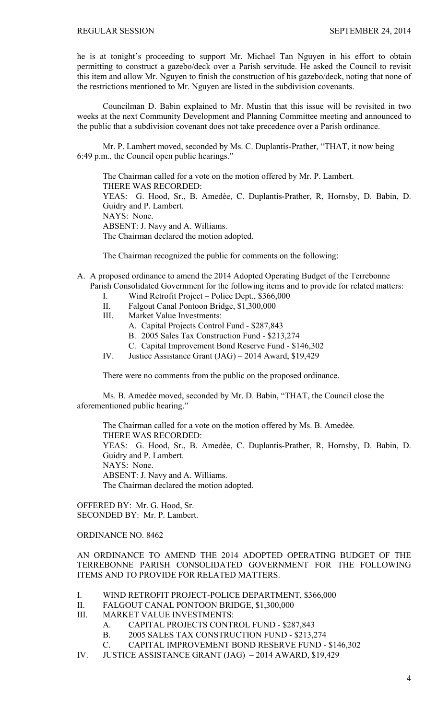he is at tonight's proceeding to support Mr. Michael Tan Nguyen in his effort to obtain permitting to construct a gazebo/deck over a Parish servitude. He asked the Council to revisit this item and allow Mr. Nguyen to finish the construction of his gazebo/deck, noting that none of the restrictions mentioned to Mr. Nguyen are listed in the subdivision covenants.

Councilman D. Babin explained to Mr. Mustin that this issue will be revisited in two weeks at the next Community Development and Planning Committee meeting and announced to the public that a subdivision covenant does not take precedence over a Parish ordinance.

 Mr. P. Lambert moved, seconded by Ms. C. Duplantis-Prather, "THAT, it now being 6:49 p.m., the Council open public hearings."

 The Chairman called for a vote on the motion offered by Mr. P. Lambert. THERE WAS RECORDED: YEAS: G. Hood, Sr., B. Amedèe, C. Duplantis-Prather, R, Hornsby, D. Babin, D. Guidry and P. Lambert. NAYS: None. ABSENT: J. Navy and A. Williams. The Chairman declared the motion adopted.

The Chairman recognized the public for comments on the following:

- A. A proposed ordinance to amend the 2014 Adopted Operating Budget of the Terrebonne Parish Consolidated Government for the following items and to provide for related matters:
	- I. Wind Retrofit Project Police Dept., \$366,000
	- II. Falgout Canal Pontoon Bridge, \$1,300,000
	- III. Market Value Investments:
		- A. Capital Projects Control Fund \$287,843
		- B. 2005 Sales Tax Construction Fund \$213,274
		- C. Capital Improvement Bond Reserve Fund \$146,302
	- IV. Justice Assistance Grant (JAG) 2014 Award, \$19,429

There were no comments from the public on the proposed ordinance.

 Ms. B. Amedѐe moved, seconded by Mr. D. Babin, "THAT, the Council close the aforementioned public hearing."

The Chairman called for a vote on the motion offered by Ms. B. Amedèe. THERE WAS RECORDED: YEAS: G. Hood, Sr., B. Amedèe, C. Duplantis-Prather, R. Hornsby, D. Babin, D. Guidry and P. Lambert. NAYS: None. ABSENT: J. Navy and A. Williams. The Chairman declared the motion adopted.

OFFERED BY: Mr. G. Hood, Sr. SECONDED BY: Mr. P. Lambert.

ORDINANCE NO. 8462

AN ORDINANCE TO AMEND THE 2014 ADOPTED OPERATING BUDGET OF THE TERREBONNE PARISH CONSOLIDATED GOVERNMENT FOR THE FOLLOWING ITEMS AND TO PROVIDE FOR RELATED MATTERS.

- I. WIND RETROFIT PROJECT-POLICE DEPARTMENT, \$366,000
- II. FALGOUT CANAL PONTOON BRIDGE, \$1,300,000
- III. MARKET VALUE INVESTMENTS:
	- A. CAPITAL PROJECTS CONTROL FUND \$287,843
	- B. 2005 SALES TAX CONSTRUCTION FUND \$213,274
	- C. CAPITAL IMPROVEMENT BOND RESERVE FUND \$146,302
- IV. JUSTICE ASSISTANCE GRANT (JAG) 2014 AWARD, \$19,429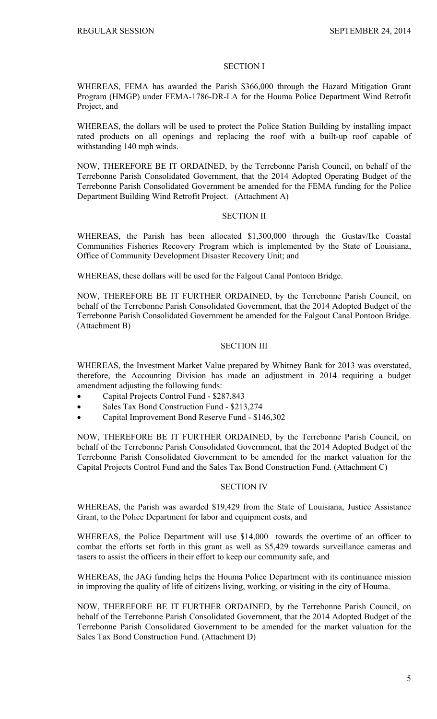#### SECTION I

WHEREAS, FEMA has awarded the Parish \$366,000 through the Hazard Mitigation Grant Program (HMGP) under FEMA-1786-DR-LA for the Houma Police Department Wind Retrofit Project, and

WHEREAS, the dollars will be used to protect the Police Station Building by installing impact rated products on all openings and replacing the roof with a built-up roof capable of withstanding 140 mph winds.

NOW, THEREFORE BE IT ORDAINED, by the Terrebonne Parish Council, on behalf of the Terrebonne Parish Consolidated Government, that the 2014 Adopted Operating Budget of the Terrebonne Parish Consolidated Government be amended for the FEMA funding for the Police Department Building Wind Retrofit Project. (Attachment A)

## SECTION II

WHEREAS, the Parish has been allocated \$1,300,000 through the Gustav/Ike Coastal Communities Fisheries Recovery Program which is implemented by the State of Louisiana, Office of Community Development Disaster Recovery Unit; and

WHEREAS, these dollars will be used for the Falgout Canal Pontoon Bridge.

NOW, THEREFORE BE IT FURTHER ORDAINED, by the Terrebonne Parish Council, on behalf of the Terrebonne Parish Consolidated Government, that the 2014 Adopted Budget of the Terrebonne Parish Consolidated Government be amended for the Falgout Canal Pontoon Bridge. (Attachment B)

## SECTION III

WHEREAS, the Investment Market Value prepared by Whitney Bank for 2013 was overstated, therefore, the Accounting Division has made an adjustment in 2014 requiring a budget amendment adjusting the following funds:

- Capital Projects Control Fund \$287,843
- Sales Tax Bond Construction Fund \$213,274
- Capital Improvement Bond Reserve Fund \$146,302

NOW, THEREFORE BE IT FURTHER ORDAINED, by the Terrebonne Parish Council, on behalf of the Terrebonne Parish Consolidated Government, that the 2014 Adopted Budget of the Terrebonne Parish Consolidated Government to be amended for the market valuation for the Capital Projects Control Fund and the Sales Tax Bond Construction Fund. (Attachment C)

#### SECTION IV

WHEREAS, the Parish was awarded \$19,429 from the State of Louisiana, Justice Assistance Grant, to the Police Department for labor and equipment costs, and

WHEREAS, the Police Department will use \$14,000 towards the overtime of an officer to combat the efforts set forth in this grant as well as \$5,429 towards surveillance cameras and tasers to assist the officers in their effort to keep our community safe, and

WHEREAS, the JAG funding helps the Houma Police Department with its continuance mission in improving the quality of life of citizens living, working, or visiting in the city of Houma.

NOW, THEREFORE BE IT FURTHER ORDAINED, by the Terrebonne Parish Council, on behalf of the Terrebonne Parish Consolidated Government, that the 2014 Adopted Budget of the Terrebonne Parish Consolidated Government to be amended for the market valuation for the Sales Tax Bond Construction Fund. (Attachment D)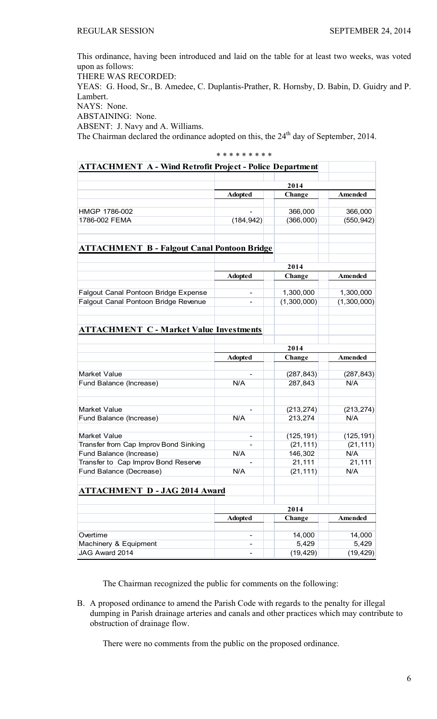This ordinance, having been introduced and laid on the table for at least two weeks, was voted upon as follows:

THERE WAS RECORDED:

YEAS: G. Hood, Sr., B. Amedee, C. Duplantis-Prather, R. Hornsby, D. Babin, D. Guidry and P. Lambert.

NAYS: None.

ABSTAINING: None.

ABSENT: J. Navy and A. Williams.

The Chairman declared the ordinance adopted on this, the 24<sup>th</sup> day of September, 2014.

|                                                                 | * * * * * * * * * |                       |                   |
|-----------------------------------------------------------------|-------------------|-----------------------|-------------------|
| <b>ATTACHMENT A - Wind Retrofit Project - Police Department</b> |                   |                       |                   |
|                                                                 |                   |                       |                   |
|                                                                 |                   | 2014                  |                   |
|                                                                 | <b>Adopted</b>    | Change                | Amended           |
| HMGP 1786-002                                                   |                   | 366,000               | 366,000           |
| 1786-002 FEMA                                                   | (184, 942)        | (366,000)             | (550, 942)        |
|                                                                 |                   |                       |                   |
| <b>ATTACHMENT B - Falgout Canal Pontoon Bridge</b>              |                   |                       |                   |
|                                                                 | 2014              |                       |                   |
|                                                                 | <b>Adopted</b>    | Change                | Amended           |
| Falgout Canal Pontoon Bridge Expense                            |                   | 1,300,000             | 1,300,000         |
| Falgout Canal Pontoon Bridge Revenue                            |                   | (1,300,000)           | (1,300,000)       |
|                                                                 |                   |                       |                   |
| <b>ATTACHMENT C - Market Value Investments</b>                  |                   |                       |                   |
|                                                                 | 2014              |                       |                   |
|                                                                 | <b>Adopted</b>    | Change                | Amended           |
|                                                                 |                   |                       |                   |
| Market Value                                                    |                   | (287, 843)            | (287, 843)        |
| Fund Balance (Increase)                                         | N/A               | 287,843               | N/A               |
| Market Value                                                    |                   |                       |                   |
| Fund Balance (Increase)                                         | N/A               | (213, 274)<br>213,274 | (213, 274)<br>N/A |
|                                                                 |                   |                       |                   |
| Market Value                                                    | ۰                 | (125, 191)            | (125, 191)        |
| Transfer from Cap Improv Bond Sinking                           |                   | (21, 111)             | (21, 111)         |
| Fund Balance (Increase)                                         | N/A               | 146,302               | N/A               |
| Transfer to Cap Improv Bond Reserve                             |                   | 21,111                | 21,111            |
| Fund Balance (Decrease)                                         | N/A               | (21, 111)             | N/A               |
| <b>ATTACHMENT D - JAG 2014 Award</b>                            |                   |                       |                   |
|                                                                 | 2014              |                       |                   |
|                                                                 | <b>Adopted</b>    | Change                | Amended           |
|                                                                 |                   |                       |                   |
| Overtime                                                        |                   | 14,000                | 14,000            |
| Machinery & Equipment                                           |                   | 5,429                 | 5,429             |
| JAG Award 2014                                                  |                   | (19, 429)             | (19, 429)         |

The Chairman recognized the public for comments on the following:

B. A proposed ordinance to amend the Parish Code with regards to the penalty for illegal dumping in Parish drainage arteries and canals and other practices which may contribute to obstruction of drainage flow.

There were no comments from the public on the proposed ordinance.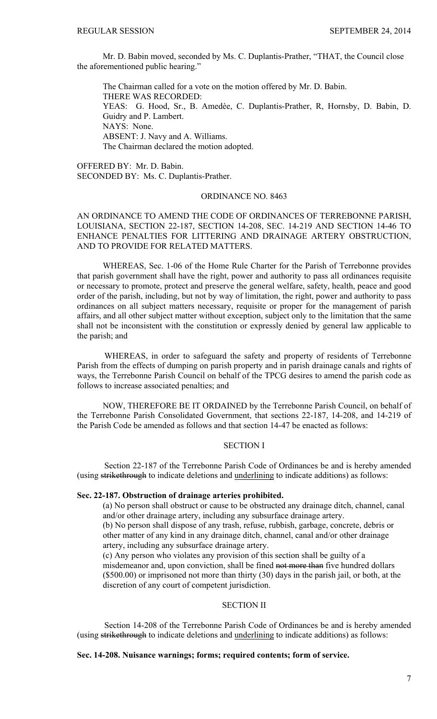Mr. D. Babin moved, seconded by Ms. C. Duplantis-Prather, "THAT, the Council close the aforementioned public hearing."

 The Chairman called for a vote on the motion offered by Mr. D. Babin. THERE WAS RECORDED: YEAS: G. Hood, Sr., B. Amedèe, C. Duplantis-Prather, R, Hornsby, D. Babin, D. Guidry and P. Lambert. NAYS: None. ABSENT: J. Navy and A. Williams. The Chairman declared the motion adopted.

OFFERED BY: Mr. D. Babin. SECONDED BY: Ms. C. Duplantis-Prather.

## ORDINANCE NO. 8463

# AN ORDINANCE TO AMEND THE CODE OF ORDINANCES OF TERREBONNE PARISH, LOUISIANA, SECTION 22-187, SECTION 14-208, SEC. 14-219 AND SECTION 14-46 TO ENHANCE PENALTIES FOR LITTERING AND DRAINAGE ARTERY OBSTRUCTION, AND TO PROVIDE FOR RELATED MATTERS.

WHEREAS, Sec. 1-06 of the Home Rule Charter for the Parish of Terrebonne provides that parish government shall have the right, power and authority to pass all ordinances requisite or necessary to promote, protect and preserve the general welfare, safety, health, peace and good order of the parish, including, but not by way of limitation, the right, power and authority to pass ordinances on all subject matters necessary, requisite or proper for the management of parish affairs, and all other subject matter without exception, subject only to the limitation that the same shall not be inconsistent with the constitution or expressly denied by general law applicable to the parish; and

WHEREAS, in order to safeguard the safety and property of residents of Terrebonne Parish from the effects of dumping on parish property and in parish drainage canals and rights of ways, the Terrebonne Parish Council on behalf of the TPCG desires to amend the parish code as follows to increase associated penalties; and

NOW, THEREFORE BE IT ORDAINED by the Terrebonne Parish Council, on behalf of the Terrebonne Parish Consolidated Government, that sections 22-187, 14-208, and 14-219 of the Parish Code be amended as follows and that section 14-47 be enacted as follows:

# SECTION I

Section 22-187 of the Terrebonne Parish Code of Ordinances be and is hereby amended (using strikethrough to indicate deletions and underlining to indicate additions) as follows:

### **Sec. 22-187. Obstruction of drainage arteries prohibited.**

(a) No person shall obstruct or cause to be obstructed any drainage ditch, channel, canal and/or other drainage artery, including any subsurface drainage artery.

(b) No person shall dispose of any trash, refuse, rubbish, garbage, concrete, debris or other matter of any kind in any drainage ditch, channel, canal and/or other drainage artery, including any subsurface drainage artery.

(c) Any person who violates any provision of this section shall be guilty of a misdemeanor and, upon conviction, shall be fined not more than five hundred dollars (\$500.00) or imprisoned not more than thirty (30) days in the parish jail, or both, at the discretion of any court of competent jurisdiction.

## SECTION II

Section 14-208 of the Terrebonne Parish Code of Ordinances be and is hereby amended (using strikethrough to indicate deletions and underlining to indicate additions) as follows:

## **Sec. 14-208. Nuisance warnings; forms; required contents; form of service.**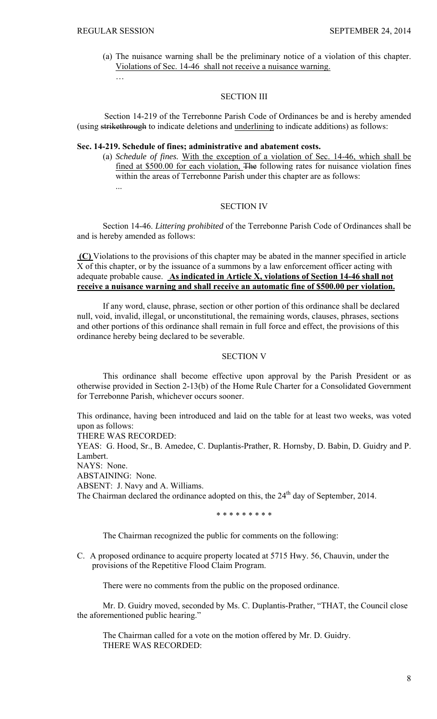(a) The nuisance warning shall be the preliminary notice of a violation of this chapter. Violations of Sec. 14-46 shall not receive a nuisance warning. …

## SECTION III

Section 14-219 of the Terrebonne Parish Code of Ordinances be and is hereby amended (using strikethrough to indicate deletions and underlining to indicate additions) as follows:

# **Sec. 14-219. Schedule of fines; administrative and abatement costs.**

(a) *Schedule of fines.* With the exception of a violation of Sec. 14-46, which shall be fined at \$500.00 for each violation, The following rates for nuisance violation fines within the areas of Terrebonne Parish under this chapter are as follows: ...

## SECTION IV

Section 14-46. *Littering prohibited* of the Terrebonne Parish Code of Ordinances shall be and is hereby amended as follows:

 **(C)** Violations to the provisions of this chapter may be abated in the manner specified in article X of this chapter, or by the issuance of a summons by a law enforcement officer acting with adequate probable cause. **As indicated in Article X, violations of Section 14-46 shall not receive a nuisance warning and shall receive an automatic fine of \$500.00 per violation.** 

If any word, clause, phrase, section or other portion of this ordinance shall be declared null, void, invalid, illegal, or unconstitutional, the remaining words, clauses, phrases, sections and other portions of this ordinance shall remain in full force and effect, the provisions of this ordinance hereby being declared to be severable.

## SECTION V

This ordinance shall become effective upon approval by the Parish President or as otherwise provided in Section 2-13(b) of the Home Rule Charter for a Consolidated Government for Terrebonne Parish, whichever occurs sooner.

This ordinance, having been introduced and laid on the table for at least two weeks, was voted upon as follows:

THERE WAS RECORDED:

YEAS: G. Hood, Sr., B. Amedee, C. Duplantis-Prather, R. Hornsby, D. Babin, D. Guidry and P. Lambert.

NAYS: None.

ABSTAINING: None.

ABSENT: J. Navy and A. Williams.

The Chairman declared the ordinance adopted on this, the  $24<sup>th</sup>$  day of September, 2014.

\* \* \* \* \* \* \* \* \*

The Chairman recognized the public for comments on the following:

C. A proposed ordinance to acquire property located at 5715 Hwy. 56, Chauvin, under the provisions of the Repetitive Flood Claim Program.

There were no comments from the public on the proposed ordinance.

 Mr. D. Guidry moved, seconded by Ms. C. Duplantis-Prather, "THAT, the Council close the aforementioned public hearing."

 The Chairman called for a vote on the motion offered by Mr. D. Guidry. THERE WAS RECORDED: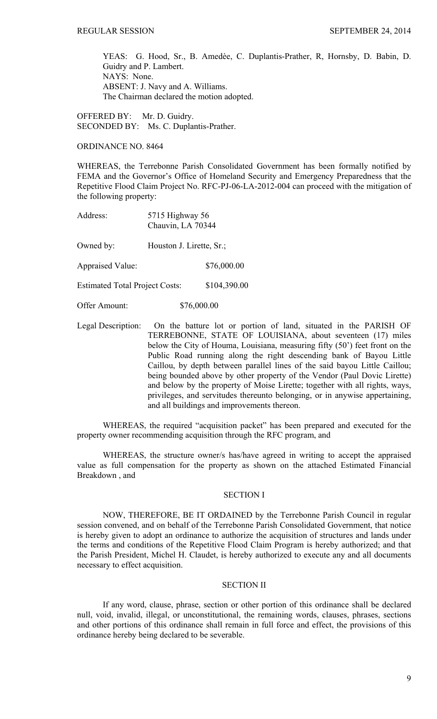YEAS: G. Hood, Sr., B. Amedèe, C. Duplantis-Prather, R, Hornsby, D. Babin, D. Guidry and P. Lambert. NAYS: None. ABSENT: J. Navy and A. Williams. The Chairman declared the motion adopted.

OFFERED BY: Mr. D. Guidry. SECONDED BY: Ms. C. Duplantis-Prather.

ORDINANCE NO. 8464

WHEREAS, the Terrebonne Parish Consolidated Government has been formally notified by FEMA and the Governor's Office of Homeland Security and Emergency Preparedness that the Repetitive Flood Claim Project No. RFC-PJ-06-LA-2012-004 can proceed with the mitigation of the following property:

| Address: | 5715 Highway 56   |
|----------|-------------------|
|          | Chauvin, LA 70344 |

Owned by: Houston J. Lirette, Sr.;

Appraised Value: \$76,000.00

Estimated Total Project Costs: \$104,390.00

Offer Amount: \$76,000.00

Legal Description: On the batture lot or portion of land, situated in the PARISH OF TERREBONNE, STATE OF LOUISIANA, about seventeen (17) miles below the City of Houma, Louisiana, measuring fifty (50') feet front on the Public Road running along the right descending bank of Bayou Little Caillou, by depth between parallel lines of the said bayou Little Caillou; being bounded above by other property of the Vendor (Paul Dovic Lirette) and below by the property of Moise Lirette; together with all rights, ways, privileges, and servitudes thereunto belonging, or in anywise appertaining, and all buildings and improvements thereon.

WHEREAS, the required "acquisition packet" has been prepared and executed for the property owner recommending acquisition through the RFC program, and

WHEREAS, the structure owner/s has/have agreed in writing to accept the appraised value as full compensation for the property as shown on the attached Estimated Financial Breakdown , and

## SECTION I

NOW, THEREFORE, BE IT ORDAINED by the Terrebonne Parish Council in regular session convened, and on behalf of the Terrebonne Parish Consolidated Government, that notice is hereby given to adopt an ordinance to authorize the acquisition of structures and lands under the terms and conditions of the Repetitive Flood Claim Program is hereby authorized; and that the Parish President, Michel H. Claudet, is hereby authorized to execute any and all documents necessary to effect acquisition.

## SECTION II

 If any word, clause, phrase, section or other portion of this ordinance shall be declared null, void, invalid, illegal, or unconstitutional, the remaining words, clauses, phrases, sections and other portions of this ordinance shall remain in full force and effect, the provisions of this ordinance hereby being declared to be severable.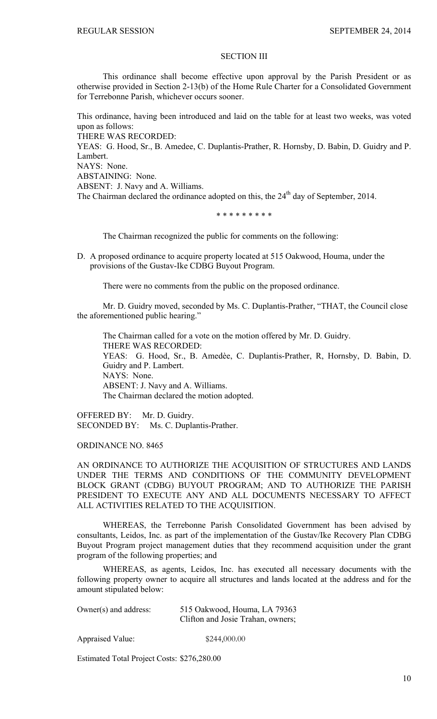## SECTION III

 This ordinance shall become effective upon approval by the Parish President or as otherwise provided in Section 2-13(b) of the Home Rule Charter for a Consolidated Government for Terrebonne Parish, whichever occurs sooner.

This ordinance, having been introduced and laid on the table for at least two weeks, was voted upon as follows: THERE WAS RECORDED: YEAS: G. Hood, Sr., B. Amedee, C. Duplantis-Prather, R. Hornsby, D. Babin, D. Guidry and P. Lambert. NAYS: None. ABSTAINING: None. ABSENT: J. Navy and A. Williams. The Chairman declared the ordinance adopted on this, the  $24<sup>th</sup>$  day of September, 2014.

\* \* \* \* \* \* \* \* \*

The Chairman recognized the public for comments on the following:

D. A proposed ordinance to acquire property located at 515 Oakwood, Houma, under the provisions of the Gustav-Ike CDBG Buyout Program.

There were no comments from the public on the proposed ordinance.

 Mr. D. Guidry moved, seconded by Ms. C. Duplantis-Prather, "THAT, the Council close the aforementioned public hearing."

 The Chairman called for a vote on the motion offered by Mr. D. Guidry. THERE WAS RECORDED: YEAS: G. Hood, Sr., B. Amedèe, C. Duplantis-Prather, R, Hornsby, D. Babin, D. Guidry and P. Lambert. NAYS: None. ABSENT: J. Navy and A. Williams. The Chairman declared the motion adopted.

OFFERED BY: Mr. D. Guidry. SECONDED BY: Ms. C. Duplantis-Prather.

ORDINANCE NO. 8465

AN ORDINANCE TO AUTHORIZE THE ACQUISITION OF STRUCTURES AND LANDS UNDER THE TERMS AND CONDITIONS OF THE COMMUNITY DEVELOPMENT BLOCK GRANT (CDBG) BUYOUT PROGRAM; AND TO AUTHORIZE THE PARISH PRESIDENT TO EXECUTE ANY AND ALL DOCUMENTS NECESSARY TO AFFECT ALL ACTIVITIES RELATED TO THE ACQUISITION.

 WHEREAS, the Terrebonne Parish Consolidated Government has been advised by consultants, Leidos, Inc. as part of the implementation of the Gustav/Ike Recovery Plan CDBG Buyout Program project management duties that they recommend acquisition under the grant program of the following properties; and

WHEREAS, as agents, Leidos, Inc. has executed all necessary documents with the following property owner to acquire all structures and lands located at the address and for the amount stipulated below:

| Owner( $s$ ) and address: | 515 Oakwood, Houma, LA 79363      |
|---------------------------|-----------------------------------|
|                           | Clifton and Josie Trahan, owners; |

Appraised Value: \$244,000.00

Estimated Total Project Costs: \$276,280.00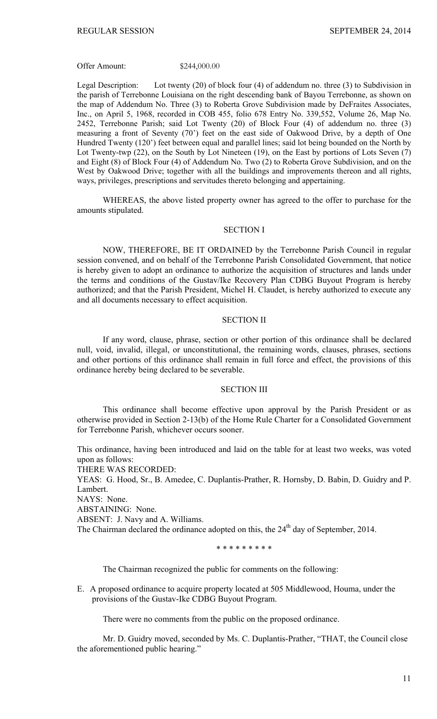#### Offer Amount: \$244,000.00

Legal Description: Lot twenty (20) of block four (4) of addendum no. three (3) to Subdivision in the parish of Terrebonne Louisiana on the right descending bank of Bayou Terrebonne, as shown on the map of Addendum No. Three (3) to Roberta Grove Subdivision made by DeFraites Associates, Inc., on April 5, 1968, recorded in COB 455, folio 678 Entry No. 339,552, Volume 26, Map No. 2452, Terrebonne Parish; said Lot Twenty (20) of Block Four (4) of addendum no. three (3) measuring a front of Seventy (70') feet on the east side of Oakwood Drive, by a depth of One Hundred Twenty (120') feet between equal and parallel lines; said lot being bounded on the North by Lot Twenty-twp (22), on the South by Lot Nineteen (19), on the East by portions of Lots Seven (7) and Eight (8) of Block Four (4) of Addendum No. Two (2) to Roberta Grove Subdivision, and on the West by Oakwood Drive; together with all the buildings and improvements thereon and all rights, ways, privileges, prescriptions and servitudes thereto belonging and appertaining.

 WHEREAS, the above listed property owner has agreed to the offer to purchase for the amounts stipulated.

#### SECTION I

NOW, THEREFORE, BE IT ORDAINED by the Terrebonne Parish Council in regular session convened, and on behalf of the Terrebonne Parish Consolidated Government, that notice is hereby given to adopt an ordinance to authorize the acquisition of structures and lands under the terms and conditions of the Gustav/Ike Recovery Plan CDBG Buyout Program is hereby authorized; and that the Parish President, Michel H. Claudet, is hereby authorized to execute any and all documents necessary to effect acquisition.

#### SECTION II

 If any word, clause, phrase, section or other portion of this ordinance shall be declared null, void, invalid, illegal, or unconstitutional, the remaining words, clauses, phrases, sections and other portions of this ordinance shall remain in full force and effect, the provisions of this ordinance hereby being declared to be severable.

#### SECTION III

 This ordinance shall become effective upon approval by the Parish President or as otherwise provided in Section 2-13(b) of the Home Rule Charter for a Consolidated Government for Terrebonne Parish, whichever occurs sooner.

This ordinance, having been introduced and laid on the table for at least two weeks, was voted upon as follows:

THERE WAS RECORDED:

YEAS: G. Hood, Sr., B. Amedee, C. Duplantis-Prather, R. Hornsby, D. Babin, D. Guidry and P. Lambert.

NAYS: None.

ABSTAINING: None.

ABSENT: J. Navy and A. Williams.

The Chairman declared the ordinance adopted on this, the 24<sup>th</sup> day of September, 2014.

\* \* \* \* \* \* \* \* \*

The Chairman recognized the public for comments on the following:

E. A proposed ordinance to acquire property located at 505 Middlewood, Houma, under the provisions of the Gustav-Ike CDBG Buyout Program.

There were no comments from the public on the proposed ordinance.

 Mr. D. Guidry moved, seconded by Ms. C. Duplantis-Prather, "THAT, the Council close the aforementioned public hearing."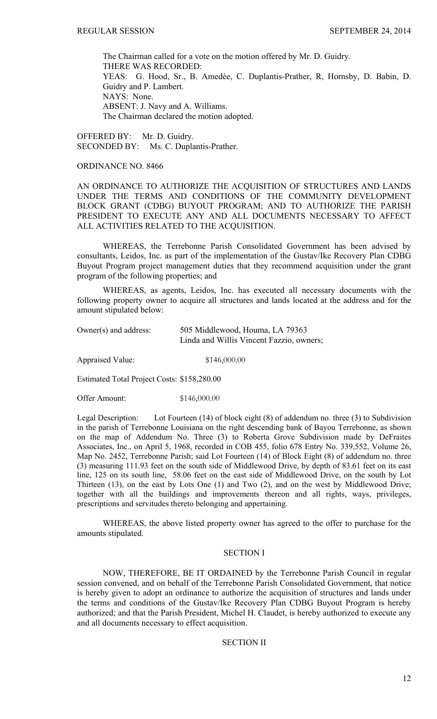The Chairman called for a vote on the motion offered by Mr. D. Guidry. THERE WAS RECORDED: YEAS: G. Hood, Sr., B. Amedèe, C. Duplantis-Prather, R. Hornsby, D. Babin, D. Guidry and P. Lambert. NAYS: None. ABSENT: J. Navy and A. Williams. The Chairman declared the motion adopted.

OFFERED BY: Mr. D. Guidry. SECONDED BY: Ms. C. Duplantis-Prather.

### ORDINANCE NO. 8466

AN ORDINANCE TO AUTHORIZE THE ACQUISITION OF STRUCTURES AND LANDS UNDER THE TERMS AND CONDITIONS OF THE COMMUNITY DEVELOPMENT BLOCK GRANT (CDBG) BUYOUT PROGRAM; AND TO AUTHORIZE THE PARISH PRESIDENT TO EXECUTE ANY AND ALL DOCUMENTS NECESSARY TO AFFECT ALL ACTIVITIES RELATED TO THE ACQUISITION.

 WHEREAS, the Terrebonne Parish Consolidated Government has been advised by consultants, Leidos, Inc. as part of the implementation of the Gustav/Ike Recovery Plan CDBG Buyout Program project management duties that they recommend acquisition under the grant program of the following properties; and

WHEREAS, as agents, Leidos, Inc. has executed all necessary documents with the following property owner to acquire all structures and lands located at the address and for the amount stipulated below:

| Owner( $s$ ) and address: | 505 Middlewood, Houma, LA 79363          |
|---------------------------|------------------------------------------|
|                           | Linda and Willis Vincent Fazzio, owners; |

Appraised Value:  $$146,000.00$ 

Estimated Total Project Costs: \$158,280.00

Offer Amount: \$146,000.00

Legal Description: Lot Fourteen (14) of block eight (8) of addendum no. three (3) to Subdivision in the parish of Terrebonne Louisiana on the right descending bank of Bayou Terrebonne, as shown on the map of Addendum No. Three (3) to Roberta Grove Subdivision made by DeFraites Associates, Inc., on April 5, 1968, recorded in COB 455, folio 678 Entry No. 339,552, Volume 26, Map No. 2452, Terrebonne Parish; said Lot Fourteen (14) of Block Eight (8) of addendum no. three (3) measuring 111.93 feet on the south side of Middlewood Drive, by depth of 83.61 feet on its east line, 125 on its south line, 58.06 feet on the east side of Middlewood Drive, on the south by Lot Thirteen (13), on the east by Lots One (1) and Two (2), and on the west by Middlewood Drive; together with all the buildings and improvements thereon and all rights, ways, privileges, prescriptions and servitudes thereto belonging and appertaining.

 WHEREAS, the above listed property owner has agreed to the offer to purchase for the amounts stipulated.

#### SECTION I

NOW, THEREFORE, BE IT ORDAINED by the Terrebonne Parish Council in regular session convened, and on behalf of the Terrebonne Parish Consolidated Government, that notice is hereby given to adopt an ordinance to authorize the acquisition of structures and lands under the terms and conditions of the Gustav/Ike Recovery Plan CDBG Buyout Program is hereby authorized; and that the Parish President, Michel H. Claudet, is hereby authorized to execute any and all documents necessary to effect acquisition.

SECTION II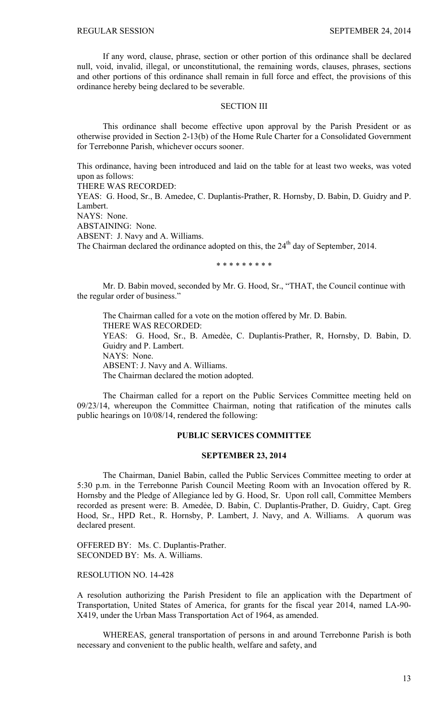If any word, clause, phrase, section or other portion of this ordinance shall be declared null, void, invalid, illegal, or unconstitutional, the remaining words, clauses, phrases, sections and other portions of this ordinance shall remain in full force and effect, the provisions of this ordinance hereby being declared to be severable.

#### SECTION III

 This ordinance shall become effective upon approval by the Parish President or as otherwise provided in Section 2-13(b) of the Home Rule Charter for a Consolidated Government for Terrebonne Parish, whichever occurs sooner.

This ordinance, having been introduced and laid on the table for at least two weeks, was voted upon as follows:

THERE WAS RECORDED:

YEAS: G. Hood, Sr., B. Amedee, C. Duplantis-Prather, R. Hornsby, D. Babin, D. Guidry and P. Lambert.

NAYS: None.

ABSTAINING: None.

ABSENT: J. Navy and A. Williams.

The Chairman declared the ordinance adopted on this, the 24<sup>th</sup> day of September, 2014.

\* \* \* \* \* \* \* \* \*

 Mr. D. Babin moved, seconded by Mr. G. Hood, Sr., "THAT, the Council continue with the regular order of business."

 The Chairman called for a vote on the motion offered by Mr. D. Babin. THERE WAS RECORDED: YEAS: G. Hood, Sr., B. Amedèe, C. Duplantis-Prather, R, Hornsby, D. Babin, D. Guidry and P. Lambert. NAYS: None. ABSENT: J. Navy and A. Williams. The Chairman declared the motion adopted.

The Chairman called for a report on the Public Services Committee meeting held on 09/23/14, whereupon the Committee Chairman, noting that ratification of the minutes calls public hearings on 10/08/14, rendered the following:

## **PUBLIC SERVICES COMMITTEE**

## **SEPTEMBER 23, 2014**

 The Chairman, Daniel Babin, called the Public Services Committee meeting to order at 5:30 p.m. in the Terrebonne Parish Council Meeting Room with an Invocation offered by R. Hornsby and the Pledge of Allegiance led by G. Hood, Sr. Upon roll call, Committee Members recorded as present were: B. Amedẻe, D. Babin, C. Duplantis-Prather, D. Guidry, Capt. Greg Hood, Sr., HPD Ret., R. Hornsby, P. Lambert, J. Navy, and A. Williams. A quorum was declared present.

OFFERED BY: Ms. C. Duplantis-Prather. SECONDED BY: Ms. A. Williams.

RESOLUTION NO. 14-428

A resolution authorizing the Parish President to file an application with the Department of Transportation, United States of America, for grants for the fiscal year 2014, named LA-90- X419, under the Urban Mass Transportation Act of 1964, as amended.

 WHEREAS, general transportation of persons in and around Terrebonne Parish is both necessary and convenient to the public health, welfare and safety, and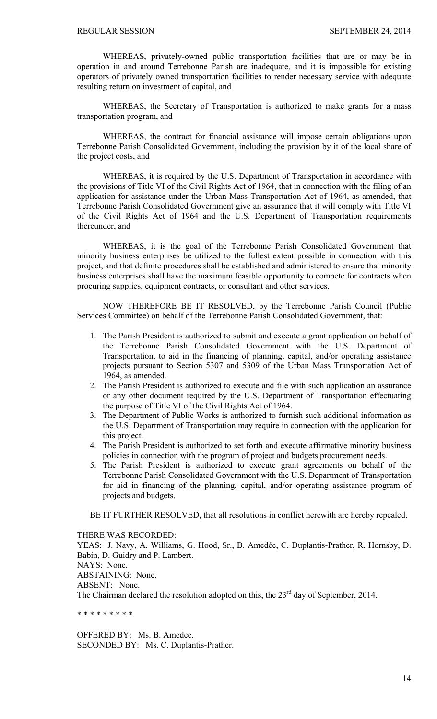WHEREAS, privately-owned public transportation facilities that are or may be in operation in and around Terrebonne Parish are inadequate, and it is impossible for existing operators of privately owned transportation facilities to render necessary service with adequate resulting return on investment of capital, and

 WHEREAS, the Secretary of Transportation is authorized to make grants for a mass transportation program, and

 WHEREAS, the contract for financial assistance will impose certain obligations upon Terrebonne Parish Consolidated Government, including the provision by it of the local share of the project costs, and

 WHEREAS, it is required by the U.S. Department of Transportation in accordance with the provisions of Title VI of the Civil Rights Act of 1964, that in connection with the filing of an application for assistance under the Urban Mass Transportation Act of 1964, as amended, that Terrebonne Parish Consolidated Government give an assurance that it will comply with Title VI of the Civil Rights Act of 1964 and the U.S. Department of Transportation requirements thereunder, and

 WHEREAS, it is the goal of the Terrebonne Parish Consolidated Government that minority business enterprises be utilized to the fullest extent possible in connection with this project, and that definite procedures shall be established and administered to ensure that minority business enterprises shall have the maximum feasible opportunity to compete for contracts when procuring supplies, equipment contracts, or consultant and other services.

NOW THEREFORE BE IT RESOLVED, by the Terrebonne Parish Council (Public Services Committee) on behalf of the Terrebonne Parish Consolidated Government, that:

- 1. The Parish President is authorized to submit and execute a grant application on behalf of the Terrebonne Parish Consolidated Government with the U.S. Department of Transportation, to aid in the financing of planning, capital, and/or operating assistance projects pursuant to Section 5307 and 5309 of the Urban Mass Transportation Act of 1964, as amended.
- 2. The Parish President is authorized to execute and file with such application an assurance or any other document required by the U.S. Department of Transportation effectuating the purpose of Title VI of the Civil Rights Act of 1964.
- 3. The Department of Public Works is authorized to furnish such additional information as the U.S. Department of Transportation may require in connection with the application for this project.
- 4. The Parish President is authorized to set forth and execute affirmative minority business policies in connection with the program of project and budgets procurement needs.
- 5. The Parish President is authorized to execute grant agreements on behalf of the Terrebonne Parish Consolidated Government with the U.S. Department of Transportation for aid in financing of the planning, capital, and/or operating assistance program of projects and budgets.

BE IT FURTHER RESOLVED, that all resolutions in conflict herewith are hereby repealed.

THERE WAS RECORDED:

YEAS: J. Navy, A. Williams, G. Hood, Sr., B. Amedée, C. Duplantis-Prather, R. Hornsby, D. Babin, D. Guidry and P. Lambert.

NAYS: None.

ABSTAINING: None.

ABSENT: None.

The Chairman declared the resolution adopted on this, the  $23<sup>rd</sup>$  day of September, 2014.

\* \* \* \* \* \* \* \* \*

OFFERED BY: Ms. B. Amedee. SECONDED BY: Ms. C. Duplantis-Prather.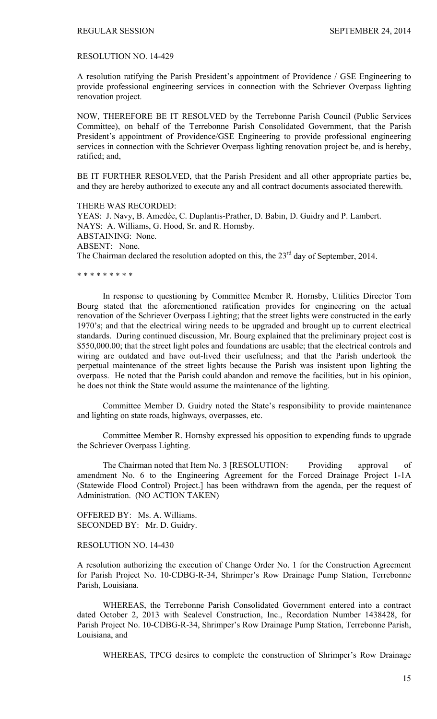#### RESOLUTION NO. 14-429

A resolution ratifying the Parish President's appointment of Providence / GSE Engineering to provide professional engineering services in connection with the Schriever Overpass lighting renovation project.

NOW, THEREFORE BE IT RESOLVED by the Terrebonne Parish Council (Public Services Committee), on behalf of the Terrebonne Parish Consolidated Government, that the Parish President's appointment of Providence/GSE Engineering to provide professional engineering services in connection with the Schriever Overpass lighting renovation project be, and is hereby, ratified; and,

BE IT FURTHER RESOLVED, that the Parish President and all other appropriate parties be, and they are hereby authorized to execute any and all contract documents associated therewith.

THERE WAS RECORDED: YEAS: J. Navy, B. Amedée, C. Duplantis-Prather, D. Babin, D. Guidry and P. Lambert. NAYS: A. Williams, G. Hood, Sr. and R. Hornsby. ABSTAINING: None. ABSENT: None. The Chairman declared the resolution adopted on this, the 23<sup>rd</sup> day of September, 2014.

\* \* \* \* \* \* \* \* \*

 In response to questioning by Committee Member R. Hornsby, Utilities Director Tom Bourg stated that the aforementioned ratification provides for engineering on the actual renovation of the Schriever Overpass Lighting; that the street lights were constructed in the early 1970's; and that the electrical wiring needs to be upgraded and brought up to current electrical standards. During continued discussion, Mr. Bourg explained that the preliminary project cost is \$550,000.00; that the street light poles and foundations are usable; that the electrical controls and wiring are outdated and have out-lived their usefulness; and that the Parish undertook the perpetual maintenance of the street lights because the Parish was insistent upon lighting the overpass. He noted that the Parish could abandon and remove the facilities, but in his opinion, he does not think the State would assume the maintenance of the lighting.

 Committee Member D. Guidry noted the State's responsibility to provide maintenance and lighting on state roads, highways, overpasses, etc.

 Committee Member R. Hornsby expressed his opposition to expending funds to upgrade the Schriever Overpass Lighting.

The Chairman noted that Item No. 3 [RESOLUTION: Providing approval of amendment No. 6 to the Engineering Agreement for the Forced Drainage Project 1-1A (Statewide Flood Control) Project.] has been withdrawn from the agenda, per the request of Administration. (NO ACTION TAKEN)

OFFERED BY: Ms. A. Williams. SECONDED BY: Mr. D. Guidry.

#### RESOLUTION NO. 14-430

A resolution authorizing the execution of Change Order No. 1 for the Construction Agreement for Parish Project No. 10-CDBG-R-34, Shrimper's Row Drainage Pump Station, Terrebonne Parish, Louisiana.

 WHEREAS, the Terrebonne Parish Consolidated Government entered into a contract dated October 2, 2013 with Sealevel Construction, Inc., Recordation Number 1438428, for Parish Project No. 10-CDBG-R-34, Shrimper's Row Drainage Pump Station, Terrebonne Parish, Louisiana, and

WHEREAS, TPCG desires to complete the construction of Shrimper's Row Drainage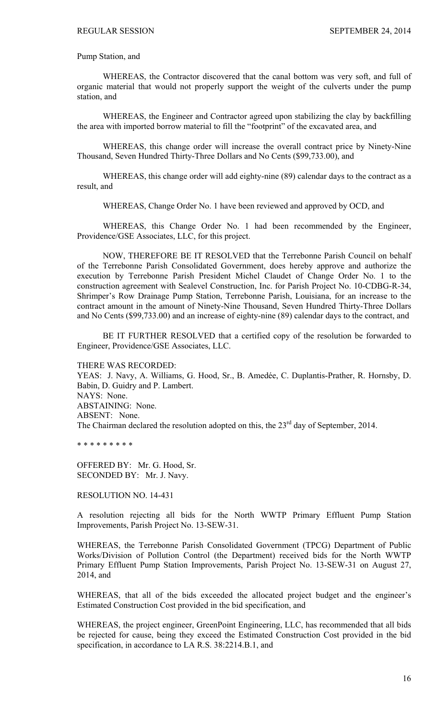Pump Station, and

 WHEREAS, the Contractor discovered that the canal bottom was very soft, and full of organic material that would not properly support the weight of the culverts under the pump station, and

 WHEREAS, the Engineer and Contractor agreed upon stabilizing the clay by backfilling the area with imported borrow material to fill the "footprint" of the excavated area, and

 WHEREAS, this change order will increase the overall contract price by Ninety-Nine Thousand, Seven Hundred Thirty-Three Dollars and No Cents (\$99,733.00), and

 WHEREAS, this change order will add eighty-nine (89) calendar days to the contract as a result, and

WHEREAS, Change Order No. 1 have been reviewed and approved by OCD, and

 WHEREAS, this Change Order No. 1 had been recommended by the Engineer, Providence/GSE Associates, LLC, for this project.

NOW, THEREFORE BE IT RESOLVED that the Terrebonne Parish Council on behalf of the Terrebonne Parish Consolidated Government, does hereby approve and authorize the execution by Terrebonne Parish President Michel Claudet of Change Order No. 1 to the construction agreement with Sealevel Construction, Inc. for Parish Project No. 10-CDBG-R-34, Shrimper's Row Drainage Pump Station, Terrebonne Parish, Louisiana, for an increase to the contract amount in the amount of Ninety-Nine Thousand, Seven Hundred Thirty-Three Dollars and No Cents (\$99,733.00) and an increase of eighty-nine (89) calendar days to the contract, and

 BE IT FURTHER RESOLVED that a certified copy of the resolution be forwarded to Engineer, Providence/GSE Associates, LLC.

THERE WAS RECORDED:

YEAS: J. Navy, A. Williams, G. Hood, Sr., B. Amedée, C. Duplantis-Prather, R. Hornsby, D. Babin, D. Guidry and P. Lambert. NAYS: None. ABSTAINING: None. ABSENT: None. The Chairman declared the resolution adopted on this, the 23<sup>rd</sup> day of September, 2014.

\* \* \* \* \* \* \* \* \*

OFFERED BY: Mr. G. Hood, Sr. SECONDED BY: Mr. J. Navy.

RESOLUTION NO. 14-431

A resolution rejecting all bids for the North WWTP Primary Effluent Pump Station Improvements, Parish Project No. 13-SEW-31.

WHEREAS, the Terrebonne Parish Consolidated Government (TPCG) Department of Public Works/Division of Pollution Control (the Department) received bids for the North WWTP Primary Effluent Pump Station Improvements, Parish Project No. 13-SEW-31 on August 27, 2014, and

WHEREAS, that all of the bids exceeded the allocated project budget and the engineer's Estimated Construction Cost provided in the bid specification, and

WHEREAS, the project engineer, GreenPoint Engineering, LLC, has recommended that all bids be rejected for cause, being they exceed the Estimated Construction Cost provided in the bid specification, in accordance to LA R.S. 38:2214.B.1, and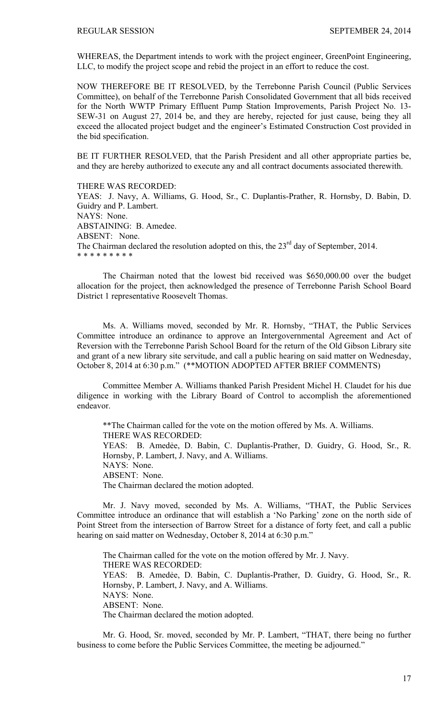WHEREAS, the Department intends to work with the project engineer, GreenPoint Engineering, LLC, to modify the project scope and rebid the project in an effort to reduce the cost.

NOW THEREFORE BE IT RESOLVED, by the Terrebonne Parish Council (Public Services Committee), on behalf of the Terrebonne Parish Consolidated Government that all bids received for the North WWTP Primary Effluent Pump Station Improvements, Parish Project No. 13- SEW-31 on August 27, 2014 be, and they are hereby, rejected for just cause, being they all exceed the allocated project budget and the engineer's Estimated Construction Cost provided in the bid specification.

BE IT FURTHER RESOLVED, that the Parish President and all other appropriate parties be, and they are hereby authorized to execute any and all contract documents associated therewith.

THERE WAS RECORDED:

YEAS: J. Navy, A. Williams, G. Hood, Sr., C. Duplantis-Prather, R. Hornsby, D. Babin, D. Guidry and P. Lambert. NAYS: None. ABSTAINING: B. Amedee. ABSENT: None. The Chairman declared the resolution adopted on this, the  $23<sup>rd</sup>$  day of September, 2014. \* \* \* \* \* \* \* \* \*

 The Chairman noted that the lowest bid received was \$650,000.00 over the budget allocation for the project, then acknowledged the presence of Terrebonne Parish School Board District 1 representative Roosevelt Thomas.

Ms. A. Williams moved, seconded by Mr. R. Hornsby, "THAT, the Public Services Committee introduce an ordinance to approve an Intergovernmental Agreement and Act of Reversion with the Terrebonne Parish School Board for the return of the Old Gibson Library site and grant of a new library site servitude, and call a public hearing on said matter on Wednesday, October 8, 2014 at 6:30 p.m." (\*\*MOTION ADOPTED AFTER BRIEF COMMENTS)

Committee Member A. Williams thanked Parish President Michel H. Claudet for his due diligence in working with the Library Board of Control to accomplish the aforementioned endeavor.

\*\*The Chairman called for the vote on the motion offered by Ms. A. Williams. THERE WAS RECORDED: YEAS: B. Amedẻe, D. Babin, C. Duplantis-Prather, D. Guidry, G. Hood, Sr., R. Hornsby, P. Lambert, J. Navy, and A. Williams. NAYS: None. ABSENT: None. The Chairman declared the motion adopted.

 Mr. J. Navy moved, seconded by Ms. A. Williams, "THAT, the Public Services Committee introduce an ordinance that will establish a 'No Parking' zone on the north side of Point Street from the intersection of Barrow Street for a distance of forty feet, and call a public hearing on said matter on Wednesday, October 8, 2014 at 6:30 p.m."

The Chairman called for the vote on the motion offered by Mr. J. Navy. THERE WAS RECORDED: YEAS: B. Amedẻe, D. Babin, C. Duplantis-Prather, D. Guidry, G. Hood, Sr., R. Hornsby, P. Lambert, J. Navy, and A. Williams. NAYS: None. ABSENT: None. The Chairman declared the motion adopted.

 Mr. G. Hood, Sr. moved, seconded by Mr. P. Lambert, "THAT, there being no further business to come before the Public Services Committee, the meeting be adjourned."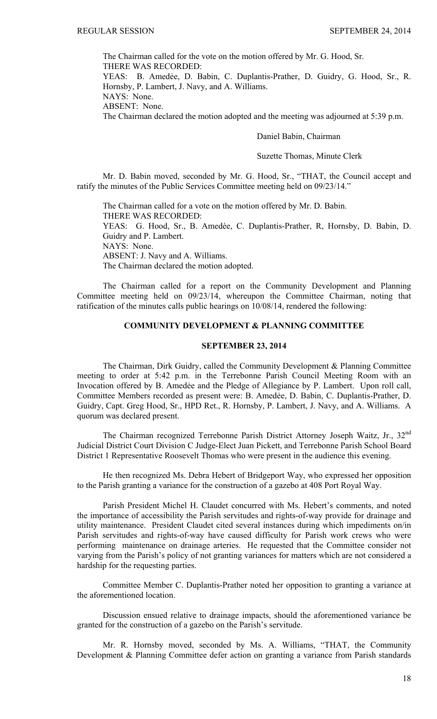The Chairman called for the vote on the motion offered by Mr. G. Hood, Sr. THERE WAS RECORDED:

YEAS: B. Amedẻe, D. Babin, C. Duplantis-Prather, D. Guidry, G. Hood, Sr., R. Hornsby, P. Lambert, J. Navy, and A. Williams.

NAYS: None.

ABSENT: None.

The Chairman declared the motion adopted and the meeting was adjourned at 5:39 p.m.

Daniel Babin, Chairman

Suzette Thomas, Minute Clerk

Mr. D. Babin moved, seconded by Mr. G. Hood, Sr., "THAT, the Council accept and ratify the minutes of the Public Services Committee meeting held on 09/23/14."

The Chairman called for a vote on the motion offered by Mr. D. Babin. THERE WAS RECORDED: YEAS: G. Hood, Sr., B. Amedèe, C. Duplantis-Prather, R, Hornsby, D. Babin, D. Guidry and P. Lambert. NAYS: None. ABSENT: J. Navy and A. Williams. The Chairman declared the motion adopted.

The Chairman called for a report on the Community Development and Planning Committee meeting held on 09/23/14, whereupon the Committee Chairman, noting that ratification of the minutes calls public hearings on 10/08/14, rendered the following:

# **COMMUNITY DEVELOPMENT & PLANNING COMMITTEE**

## **SEPTEMBER 23, 2014**

 The Chairman, Dirk Guidry, called the Community Development & Planning Committee meeting to order at 5:42 p.m. in the Terrebonne Parish Council Meeting Room with an Invocation offered by B. Amedẻe and the Pledge of Allegiance by P. Lambert. Upon roll call, Committee Members recorded as present were: B. Amedẻe, D. Babin, C. Duplantis-Prather, D. Guidry, Capt. Greg Hood, Sr., HPD Ret., R. Hornsby, P. Lambert, J. Navy, and A. Williams. A quorum was declared present.

The Chairman recognized Terrebonne Parish District Attorney Joseph Waitz, Jr., 32<sup>nd</sup> Judicial District Court Division C Judge-Elect Juan Pickett, and Terrebonne Parish School Board District 1 Representative Roosevelt Thomas who were present in the audience this evening.

He then recognized Ms. Debra Hebert of Bridgeport Way, who expressed her opposition to the Parish granting a variance for the construction of a gazebo at 408 Port Royal Way.

 Parish President Michel H. Claudet concurred with Ms. Hebert's comments, and noted the importance of accessibility the Parish servitudes and rights-of-way provide for drainage and utility maintenance. President Claudet cited several instances during which impediments on/in Parish servitudes and rights-of-way have caused difficulty for Parish work crews who were performing maintenance on drainage arteries. He requested that the Committee consider not varying from the Parish's policy of not granting variances for matters which are not considered a hardship for the requesting parties.

 Committee Member C. Duplantis-Prather noted her opposition to granting a variance at the aforementioned location.

 Discussion ensued relative to drainage impacts, should the aforementioned variance be granted for the construction of a gazebo on the Parish's servitude.

 Mr. R. Hornsby moved, seconded by Ms. A. Williams, "THAT, the Community Development & Planning Committee defer action on granting a variance from Parish standards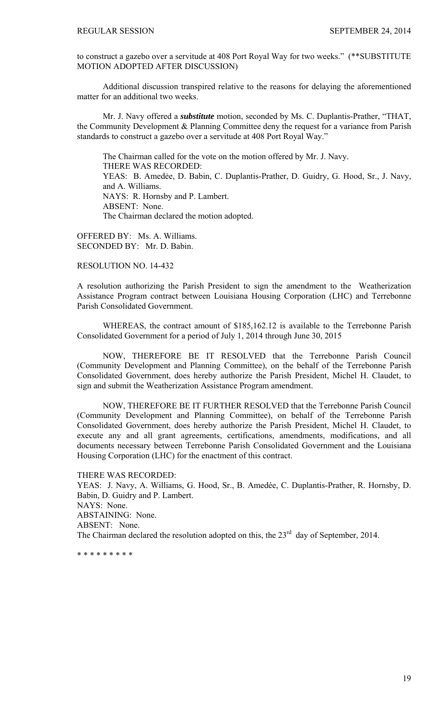to construct a gazebo over a servitude at 408 Port Royal Way for two weeks." (\*\*SUBSTITUTE MOTION ADOPTED AFTER DISCUSSION)

 Additional discussion transpired relative to the reasons for delaying the aforementioned matter for an additional two weeks.

 Mr. J. Navy offered a *substitute* motion, seconded by Ms. C. Duplantis-Prather, "THAT, the Community Development & Planning Committee deny the request for a variance from Parish standards to construct a gazebo over a servitude at 408 Port Royal Way."

The Chairman called for the vote on the motion offered by Mr. J. Navy. THERE WAS RECORDED: YEAS: B. Amedẻe, D. Babin, C. Duplantis-Prather, D. Guidry, G. Hood, Sr., J. Navy, and A. Williams. NAYS: R. Hornsby and P. Lambert. ABSENT: None. The Chairman declared the motion adopted.

OFFERED BY: Ms. A. Williams. SECONDED BY: Mr. D. Babin.

RESOLUTION NO. 14-432

A resolution authorizing the Parish President to sign the amendment to the Weatherization Assistance Program contract between Louisiana Housing Corporation (LHC) and Terrebonne Parish Consolidated Government.

 WHEREAS, the contract amount of \$185,162.12 is available to the Terrebonne Parish Consolidated Government for a period of July 1, 2014 through June 30, 2015

NOW, THEREFORE BE IT RESOLVED that the Terrebonne Parish Council (Community Development and Planning Committee), on the behalf of the Terrebonne Parish Consolidated Government, does hereby authorize the Parish President, Michel H. Claudet, to sign and submit the Weatherization Assistance Program amendment.

NOW, THEREFORE BE IT FURTHER RESOLVED that the Terrebonne Parish Council (Community Development and Planning Committee), on behalf of the Terrebonne Parish Consolidated Government, does hereby authorize the Parish President, Michel H. Claudet, to execute any and all grant agreements, certifications, amendments, modifications, and all documents necessary between Terrebonne Parish Consolidated Government and the Louisiana Housing Corporation (LHC) for the enactment of this contract.

THERE WAS RECORDED:

YEAS: J. Navy, A. Williams, G. Hood, Sr., B. Amedée, C. Duplantis-Prather, R. Hornsby, D. Babin, D. Guidry and P. Lambert. NAYS: None. ABSTAINING: None. ABSENT: None. The Chairman declared the resolution adopted on this, the  $23<sup>rd</sup>$  day of September, 2014.

\* \* \* \* \* \* \* \* \*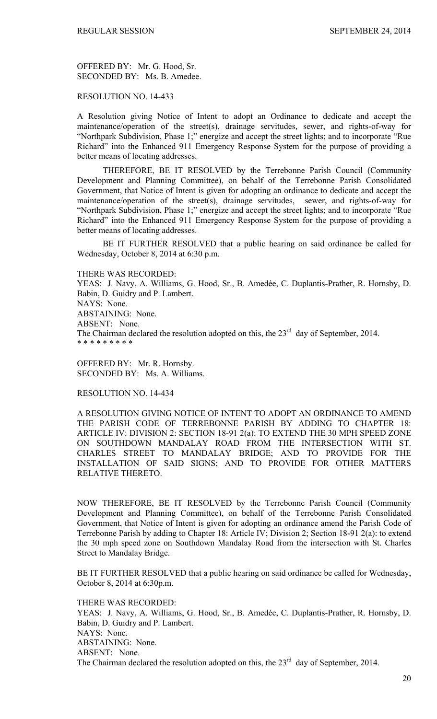OFFERED BY: Mr. G. Hood, Sr. SECONDED BY: Ms. B. Amedee.

RESOLUTION NO. 14-433

A Resolution giving Notice of Intent to adopt an Ordinance to dedicate and accept the maintenance/operation of the street(s), drainage servitudes, sewer, and rights-of-way for "Northpark Subdivision, Phase 1;" energize and accept the street lights; and to incorporate "Rue Richard" into the Enhanced 911 Emergency Response System for the purpose of providing a better means of locating addresses.

THEREFORE, BE IT RESOLVED by the Terrebonne Parish Council (Community Development and Planning Committee), on behalf of the Terrebonne Parish Consolidated Government, that Notice of Intent is given for adopting an ordinance to dedicate and accept the maintenance/operation of the street(s), drainage servitudes, sewer, and rights-of-way for "Northpark Subdivision, Phase 1;" energize and accept the street lights; and to incorporate "Rue Richard" into the Enhanced 911 Emergency Response System for the purpose of providing a better means of locating addresses.

 BE IT FURTHER RESOLVED that a public hearing on said ordinance be called for Wednesday, October 8, 2014 at 6:30 p.m.

THERE WAS RECORDED:

YEAS: J. Navy, A. Williams, G. Hood, Sr., B. Amedée, C. Duplantis-Prather, R. Hornsby, D. Babin, D. Guidry and P. Lambert. NAYS: None. ABSTAINING: None. ABSENT: None. The Chairman declared the resolution adopted on this, the  $23<sup>rd</sup>$  day of September, 2014. \* \* \* \* \* \* \* \* \*

OFFERED BY: Mr. R. Hornsby. SECONDED BY: Ms. A. Williams.

RESOLUTION NO. 14-434

A RESOLUTION GIVING NOTICE OF INTENT TO ADOPT AN ORDINANCE TO AMEND THE PARISH CODE OF TERREBONNE PARISH BY ADDING TO CHAPTER 18: ARTICLE IV: DIVISION 2: SECTION 18-91 2(a): TO EXTEND THE 30 MPH SPEED ZONE ON SOUTHDOWN MANDALAY ROAD FROM THE INTERSECTION WITH ST. CHARLES STREET TO MANDALAY BRIDGE; AND TO PROVIDE FOR THE INSTALLATION OF SAID SIGNS; AND TO PROVIDE FOR OTHER MATTERS RELATIVE THERETO.

NOW THEREFORE, BE IT RESOLVED by the Terrebonne Parish Council (Community Development and Planning Committee), on behalf of the Terrebonne Parish Consolidated Government, that Notice of Intent is given for adopting an ordinance amend the Parish Code of Terrebonne Parish by adding to Chapter 18: Article IV; Division 2; Section 18-91 2(a): to extend the 30 mph speed zone on Southdown Mandalay Road from the intersection with St. Charles Street to Mandalay Bridge.

BE IT FURTHER RESOLVED that a public hearing on said ordinance be called for Wednesday, October 8, 2014 at 6:30p.m.

THERE WAS RECORDED: YEAS: J. Navy, A. Williams, G. Hood, Sr., B. Amedée, C. Duplantis-Prather, R. Hornsby, D. Babin, D. Guidry and P. Lambert. NAYS: None. ABSTAINING: None. ABSENT: None. The Chairman declared the resolution adopted on this, the  $23<sup>rd</sup>$  day of September, 2014.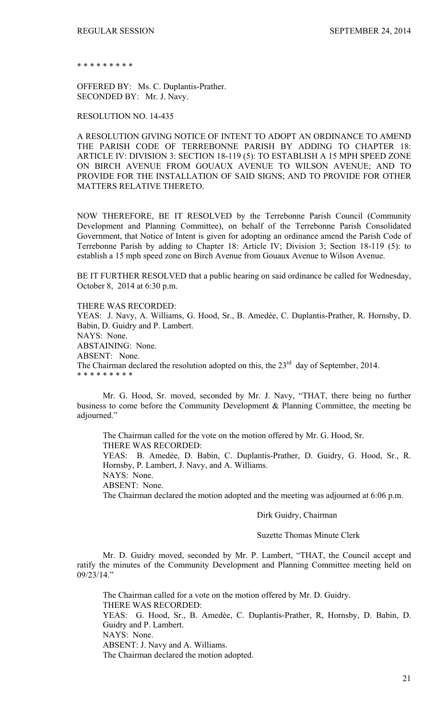\* \* \* \* \* \* \* \* \*

OFFERED BY: Ms. C. Duplantis-Prather. SECONDED BY: Mr. J. Navy.

RESOLUTION NO. 14-435

A RESOLUTION GIVING NOTICE OF INTENT TO ADOPT AN ORDINANCE TO AMEND THE PARISH CODE OF TERREBONNE PARISH BY ADDING TO CHAPTER 18: ARTICLE IV: DIVISION 3: SECTION 18-119 (5): TO ESTABLISH A 15 MPH SPEED ZONE ON BIRCH AVENUE FROM GOUAUX AVENUE TO WILSON AVENUE; AND TO PROVIDE FOR THE INSTALLATION OF SAID SIGNS; AND TO PROVIDE FOR OTHER MATTERS RELATIVE THERETO.

NOW THEREFORE, BE IT RESOLVED by the Terrebonne Parish Council (Community Development and Planning Committee), on behalf of the Terrebonne Parish Consolidated Government, that Notice of Intent is given for adopting an ordinance amend the Parish Code of Terrebonne Parish by adding to Chapter 18: Article IV; Division 3; Section 18-119 (5): to establish a 15 mph speed zone on Birch Avenue from Gouaux Avenue to Wilson Avenue.

BE IT FURTHER RESOLVED that a public hearing on said ordinance be called for Wednesday, October 8, 2014 at 6:30 p.m.

THERE WAS RECORDED:

YEAS: J. Navy, A. Williams, G. Hood, Sr., B. Amedée, C. Duplantis-Prather, R. Hornsby, D. Babin, D. Guidry and P. Lambert. NAYS: None. ABSTAINING: None. ABSENT: None. The Chairman declared the resolution adopted on this, the  $23<sup>rd</sup>$  day of September, 2014. \* \* \* \* \* \* \* \* \*

 Mr. G. Hood, Sr. moved, seconded by Mr. J. Navy, "THAT, there being no further business to come before the Community Development & Planning Committee, the meeting be adjourned."

 The Chairman called for the vote on the motion offered by Mr. G. Hood, Sr. THERE WAS RECORDED: YEAS: B. Amedẻe, D. Babin, C. Duplantis-Prather, D. Guidry, G. Hood, Sr., R. Hornsby, P. Lambert, J. Navy, and A. Williams. NAYS: None. ABSENT: None. The Chairman declared the motion adopted and the meeting was adjourned at 6:06 p.m.

Dirk Guidry, Chairman

# Suzette Thomas Minute Clerk

Mr. D. Guidry moved, seconded by Mr. P. Lambert, "THAT, the Council accept and ratify the minutes of the Community Development and Planning Committee meeting held on 09/23/14."

The Chairman called for a vote on the motion offered by Mr. D. Guidry. THERE WAS RECORDED: YEAS: G. Hood, Sr., B. Amedèe, C. Duplantis-Prather, R, Hornsby, D. Babin, D. Guidry and P. Lambert. NAYS: None. ABSENT: J. Navy and A. Williams. The Chairman declared the motion adopted.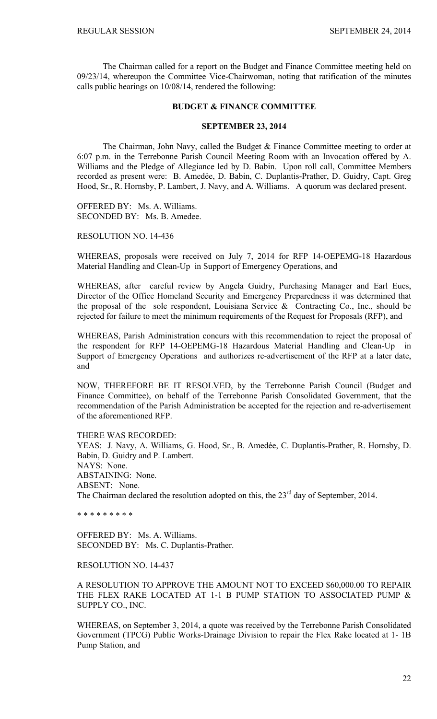The Chairman called for a report on the Budget and Finance Committee meeting held on 09/23/14, whereupon the Committee Vice-Chairwoman, noting that ratification of the minutes calls public hearings on 10/08/14, rendered the following:

## **BUDGET & FINANCE COMMITTEE**

#### **SEPTEMBER 23, 2014**

 The Chairman, John Navy, called the Budget & Finance Committee meeting to order at 6:07 p.m. in the Terrebonne Parish Council Meeting Room with an Invocation offered by A. Williams and the Pledge of Allegiance led by D. Babin. Upon roll call, Committee Members recorded as present were: B. Amedée, D. Babin, C. Duplantis-Prather, D. Guidry, Capt. Greg Hood, Sr., R. Hornsby, P. Lambert, J. Navy, and A. Williams. A quorum was declared present.

OFFERED BY: Ms. A. Williams. SECONDED BY: Ms. B. Amedee.

RESOLUTION NO. 14-436

WHEREAS, proposals were received on July 7, 2014 for RFP 14-OEPEMG-18 Hazardous Material Handling and Clean-Up in Support of Emergency Operations, and

WHEREAS, after careful review by Angela Guidry, Purchasing Manager and Earl Eues, Director of the Office Homeland Security and Emergency Preparedness it was determined that the proposal of the sole respondent, Louisiana Service  $\&$  Contracting Co., Inc., should be rejected for failure to meet the minimum requirements of the Request for Proposals (RFP), and

WHEREAS, Parish Administration concurs with this recommendation to reject the proposal of the respondent for RFP 14-OEPEMG-18 Hazardous Material Handling and Clean-Up in Support of Emergency Operations and authorizes re-advertisement of the RFP at a later date, and

NOW, THEREFORE BE IT RESOLVED, by the Terrebonne Parish Council (Budget and Finance Committee), on behalf of the Terrebonne Parish Consolidated Government, that the recommendation of the Parish Administration be accepted for the rejection and re-advertisement of the aforementioned RFP.

THERE WAS RECORDED: YEAS: J. Navy, A. Williams, G. Hood, Sr., B. Amedée, C. Duplantis-Prather, R. Hornsby, D. Babin, D. Guidry and P. Lambert. NAYS: None. ABSTAINING: None. ABSENT: None. The Chairman declared the resolution adopted on this, the  $23<sup>rd</sup>$  day of September, 2014.

\* \* \* \* \* \* \* \* \*

OFFERED BY: Ms. A. Williams. SECONDED BY: Ms. C. Duplantis-Prather.

RESOLUTION NO. 14-437

A RESOLUTION TO APPROVE THE AMOUNT NOT TO EXCEED \$60,000.00 TO REPAIR THE FLEX RAKE LOCATED AT 1-1 B PUMP STATION TO ASSOCIATED PUMP & SUPPLY CO., INC.

WHEREAS, on September 3, 2014, a quote was received by the Terrebonne Parish Consolidated Government (TPCG) Public Works-Drainage Division to repair the Flex Rake located at 1- 1B Pump Station, and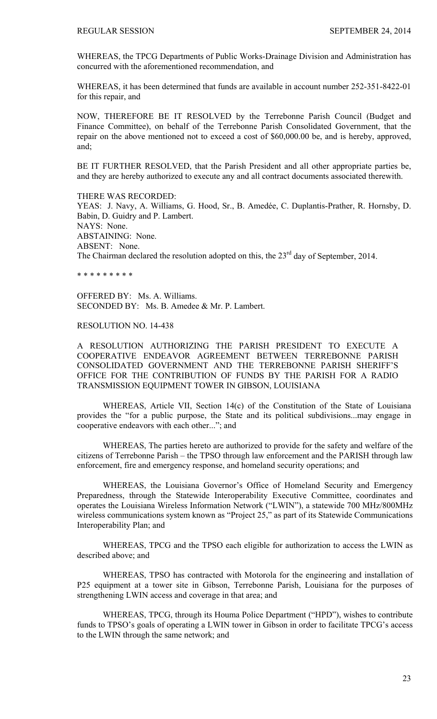WHEREAS, the TPCG Departments of Public Works-Drainage Division and Administration has concurred with the aforementioned recommendation, and

WHEREAS, it has been determined that funds are available in account number 252-351-8422-01 for this repair, and

NOW, THEREFORE BE IT RESOLVED by the Terrebonne Parish Council (Budget and Finance Committee), on behalf of the Terrebonne Parish Consolidated Government, that the repair on the above mentioned not to exceed a cost of \$60,000.00 be, and is hereby, approved, and;

BE IT FURTHER RESOLVED, that the Parish President and all other appropriate parties be, and they are hereby authorized to execute any and all contract documents associated therewith.

THERE WAS RECORDED: YEAS: J. Navy, A. Williams, G. Hood, Sr., B. Amedée, C. Duplantis-Prather, R. Hornsby, D. Babin, D. Guidry and P. Lambert. NAYS: None. ABSTAINING: None. ABSENT: None. The Chairman declared the resolution adopted on this, the  $23<sup>rd</sup>$  day of September, 2014.

\* \* \* \* \* \* \* \* \*

OFFERED BY: Ms. A. Williams. SECONDED BY: Ms. B. Amedee & Mr. P. Lambert.

# RESOLUTION NO. 14-438

A RESOLUTION AUTHORIZING THE PARISH PRESIDENT TO EXECUTE A COOPERATIVE ENDEAVOR AGREEMENT BETWEEN TERREBONNE PARISH CONSOLIDATED GOVERNMENT AND THE TERREBONNE PARISH SHERIFF'S OFFICE FOR THE CONTRIBUTION OF FUNDS BY THE PARISH FOR A RADIO TRANSMISSION EQUIPMENT TOWER IN GIBSON, LOUISIANA

WHEREAS, Article VII, Section 14(c) of the Constitution of the State of Louisiana provides the "for a public purpose, the State and its political subdivisions...may engage in cooperative endeavors with each other..."; and

WHEREAS, The parties hereto are authorized to provide for the safety and welfare of the citizens of Terrebonne Parish – the TPSO through law enforcement and the PARISH through law enforcement, fire and emergency response, and homeland security operations; and

WHEREAS, the Louisiana Governor's Office of Homeland Security and Emergency Preparedness, through the Statewide Interoperability Executive Committee, coordinates and operates the Louisiana Wireless Information Network ("LWIN"), a statewide 700 MHz/800MHz wireless communications system known as "Project 25," as part of its Statewide Communications Interoperability Plan; and

WHEREAS, TPCG and the TPSO each eligible for authorization to access the LWIN as described above; and

WHEREAS, TPSO has contracted with Motorola for the engineering and installation of P25 equipment at a tower site in Gibson, Terrebonne Parish, Louisiana for the purposes of strengthening LWIN access and coverage in that area; and

WHEREAS, TPCG, through its Houma Police Department ("HPD"), wishes to contribute funds to TPSO's goals of operating a LWIN tower in Gibson in order to facilitate TPCG's access to the LWIN through the same network; and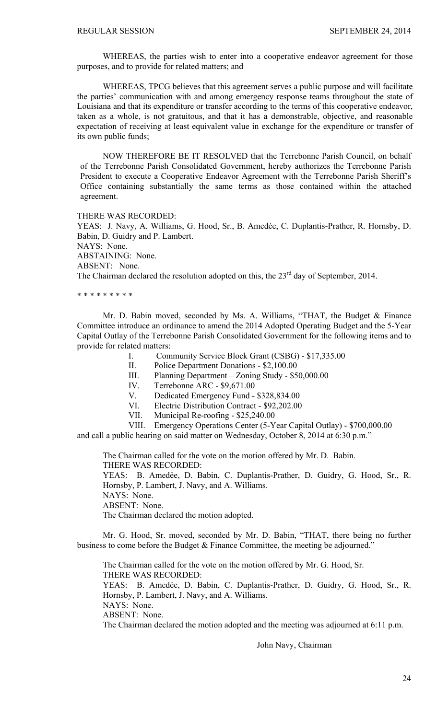WHEREAS, the parties wish to enter into a cooperative endeavor agreement for those purposes, and to provide for related matters; and

WHEREAS, TPCG believes that this agreement serves a public purpose and will facilitate the parties' communication with and among emergency response teams throughout the state of Louisiana and that its expenditure or transfer according to the terms of this cooperative endeavor, taken as a whole, is not gratuitous, and that it has a demonstrable, objective, and reasonable expectation of receiving at least equivalent value in exchange for the expenditure or transfer of its own public funds;

 NOW THEREFORE BE IT RESOLVED that the Terrebonne Parish Council, on behalf of the Terrebonne Parish Consolidated Government, hereby authorizes the Terrebonne Parish President to execute a Cooperative Endeavor Agreement with the Terrebonne Parish Sheriff's Office containing substantially the same terms as those contained within the attached agreement.

THERE WAS RECORDED:

YEAS: J. Navy, A. Williams, G. Hood, Sr., B. Amedée, C. Duplantis-Prather, R. Hornsby, D. Babin, D. Guidry and P. Lambert. NAYS: None. ABSTAINING: None. ABSENT: None. The Chairman declared the resolution adopted on this, the  $23<sup>rd</sup>$  day of September, 2014.

\* \* \* \* \* \* \* \* \*

 Mr. D. Babin moved, seconded by Ms. A. Williams, "THAT, the Budget & Finance Committee introduce an ordinance to amend the 2014 Adopted Operating Budget and the 5-Year Capital Outlay of the Terrebonne Parish Consolidated Government for the following items and to provide for related matters:

I. Community Service Block Grant (CSBG) - \$17,335.00

II. Police Department Donations - \$2,100.00

III. Planning Department – Zoning Study - \$50,000.00

IV. Terrebonne ARC - \$9,671.00

V. Dedicated Emergency Fund - \$328,834.00

VI. Electric Distribution Contract - \$92,202.00

VII. Municipal Re-roofing - \$25,240.00

VIII. Emergency Operations Center (5-Year Capital Outlay) - \$700,000.00

and call a public hearing on said matter on Wednesday, October 8, 2014 at 6:30 p.m."

The Chairman called for the vote on the motion offered by Mr. D. Babin. THERE WAS RECORDED:

YEAS: B. Amedẻe, D. Babin, C. Duplantis-Prather, D. Guidry, G. Hood, Sr., R. Hornsby, P. Lambert, J. Navy, and A. Williams.

NAYS: None.

ABSENT: None.

The Chairman declared the motion adopted.

 Mr. G. Hood, Sr. moved, seconded by Mr. D. Babin, "THAT, there being no further business to come before the Budget & Finance Committee, the meeting be adjourned."

 The Chairman called for the vote on the motion offered by Mr. G. Hood, Sr. THERE WAS RECORDED: YEAS: B. Amedẻe, D. Babin, C. Duplantis-Prather, D. Guidry, G. Hood, Sr., R.

Hornsby, P. Lambert, J. Navy, and A. Williams.

NAYS: None. ABSENT: None.

The Chairman declared the motion adopted and the meeting was adjourned at 6:11 p.m.

John Navy, Chairman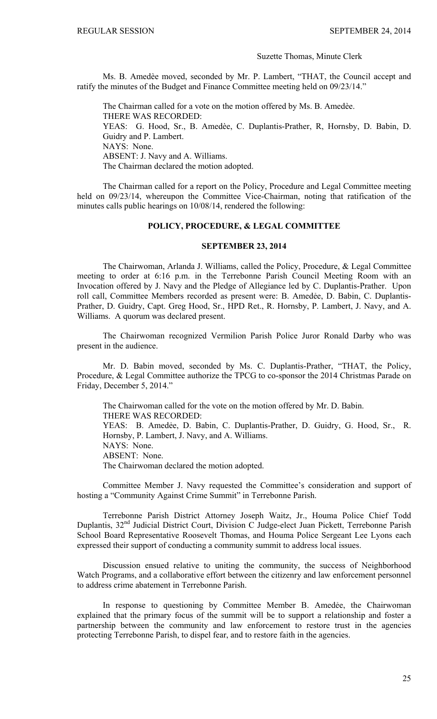#### Suzette Thomas, Minute Clerk

Ms. B. Amedèe moved, seconded by Mr. P. Lambert, "THAT, the Council accept and ratify the minutes of the Budget and Finance Committee meeting held on 09/23/14."

The Chairman called for a vote on the motion offered by Ms. B. Amedèe. THERE WAS RECORDED: YEAS: G. Hood, Sr., B. Amedèe, C. Duplantis-Prather, R, Hornsby, D. Babin, D. Guidry and P. Lambert. NAYS: None. ABSENT: J. Navy and A. Williams. The Chairman declared the motion adopted.

The Chairman called for a report on the Policy, Procedure and Legal Committee meeting held on 09/23/14, whereupon the Committee Vice-Chairman, noting that ratification of the minutes calls public hearings on 10/08/14, rendered the following:

## **POLICY, PROCEDURE, & LEGAL COMMITTEE**

### **SEPTEMBER 23, 2014**

 The Chairwoman, Arlanda J. Williams, called the Policy, Procedure, & Legal Committee meeting to order at 6:16 p.m. in the Terrebonne Parish Council Meeting Room with an Invocation offered by J. Navy and the Pledge of Allegiance led by C. Duplantis-Prather. Upon roll call, Committee Members recorded as present were: B. Amedẻe, D. Babin, C. Duplantis-Prather, D. Guidry, Capt. Greg Hood, Sr., HPD Ret., R. Hornsby, P. Lambert, J. Navy, and A. Williams. A quorum was declared present.

 The Chairwoman recognized Vermilion Parish Police Juror Ronald Darby who was present in the audience.

 Mr. D. Babin moved, seconded by Ms. C. Duplantis-Prather, "THAT, the Policy, Procedure, & Legal Committee authorize the TPCG to co-sponsor the 2014 Christmas Parade on Friday, December 5, 2014."

 The Chairwoman called for the vote on the motion offered by Mr. D. Babin. THERE WAS RECORDED: YEAS: B. Amedẻe, D. Babin, C. Duplantis-Prather, D. Guidry, G. Hood, Sr., R. Hornsby, P. Lambert, J. Navy, and A. Williams. NAYS: None. ABSENT: None. The Chairwoman declared the motion adopted.

 Committee Member J. Navy requested the Committee's consideration and support of hosting a "Community Against Crime Summit" in Terrebonne Parish.

 Terrebonne Parish District Attorney Joseph Waitz, Jr., Houma Police Chief Todd Duplantis, 32<sup>nd</sup> Judicial District Court, Division C Judge-elect Juan Pickett, Terrebonne Parish School Board Representative Roosevelt Thomas, and Houma Police Sergeant Lee Lyons each expressed their support of conducting a community summit to address local issues.

 Discussion ensued relative to uniting the community, the success of Neighborhood Watch Programs, and a collaborative effort between the citizenry and law enforcement personnel to address crime abatement in Terrebonne Parish.

 In response to questioning by Committee Member B. Amedẻe, the Chairwoman explained that the primary focus of the summit will be to support a relationship and foster a partnership between the community and law enforcement to restore trust in the agencies protecting Terrebonne Parish, to dispel fear, and to restore faith in the agencies.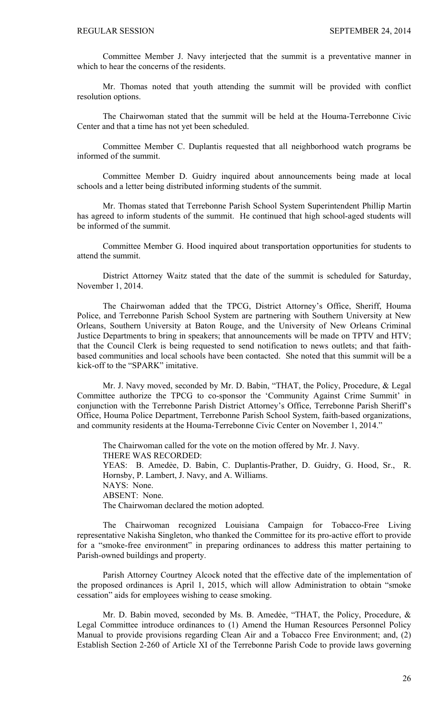Committee Member J. Navy interjected that the summit is a preventative manner in which to hear the concerns of the residents.

 Mr. Thomas noted that youth attending the summit will be provided with conflict resolution options.

 The Chairwoman stated that the summit will be held at the Houma-Terrebonne Civic Center and that a time has not yet been scheduled.

 Committee Member C. Duplantis requested that all neighborhood watch programs be informed of the summit.

 Committee Member D. Guidry inquired about announcements being made at local schools and a letter being distributed informing students of the summit.

 Mr. Thomas stated that Terrebonne Parish School System Superintendent Phillip Martin has agreed to inform students of the summit. He continued that high school-aged students will be informed of the summit.

 Committee Member G. Hood inquired about transportation opportunities for students to attend the summit.

 District Attorney Waitz stated that the date of the summit is scheduled for Saturday, November 1, 2014.

 The Chairwoman added that the TPCG, District Attorney's Office, Sheriff, Houma Police, and Terrebonne Parish School System are partnering with Southern University at New Orleans, Southern University at Baton Rouge, and the University of New Orleans Criminal Justice Departments to bring in speakers; that announcements will be made on TPTV and HTV; that the Council Clerk is being requested to send notification to news outlets; and that faithbased communities and local schools have been contacted. She noted that this summit will be a kick-off to the "SPARK" imitative.

 Mr. J. Navy moved, seconded by Mr. D. Babin, "THAT, the Policy, Procedure, & Legal Committee authorize the TPCG to co-sponsor the 'Community Against Crime Summit' in conjunction with the Terrebonne Parish District Attorney's Office, Terrebonne Parish Sheriff's Office, Houma Police Department, Terrebonne Parish School System, faith-based organizations, and community residents at the Houma-Terrebonne Civic Center on November 1, 2014."

 The Chairwoman called for the vote on the motion offered by Mr. J. Navy. THERE WAS RECORDED: YEAS: B. Amedẻe, D. Babin, C. Duplantis-Prather, D. Guidry, G. Hood, Sr., R. Hornsby, P. Lambert, J. Navy, and A. Williams. NAYS: None. ABSENT: None. The Chairwoman declared the motion adopted.

 The Chairwoman recognized Louisiana Campaign for Tobacco-Free Living representative Nakisha Singleton, who thanked the Committee for its pro-active effort to provide for a "smoke-free environment" in preparing ordinances to address this matter pertaining to Parish-owned buildings and property.

 Parish Attorney Courtney Alcock noted that the effective date of the implementation of the proposed ordinances is April 1, 2015, which will allow Administration to obtain "smoke cessation" aids for employees wishing to cease smoking.

Mr. D. Babin moved, seconded by Ms. B. Amedėe, "THAT, the Policy, Procedure, & Legal Committee introduce ordinances to (1) Amend the Human Resources Personnel Policy Manual to provide provisions regarding Clean Air and a Tobacco Free Environment; and, (2) Establish Section 2-260 of Article XI of the Terrebonne Parish Code to provide laws governing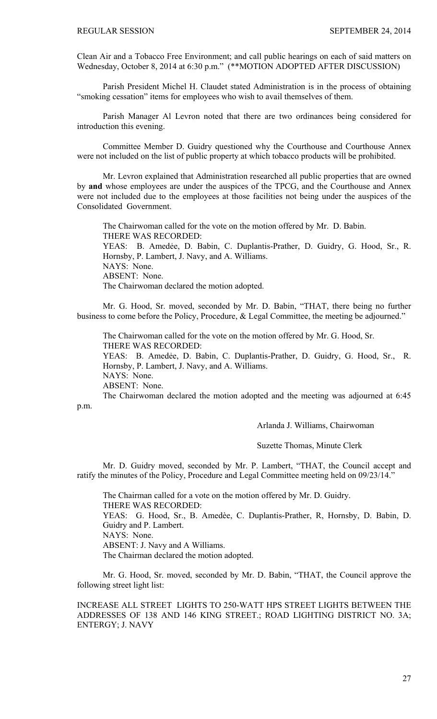Clean Air and a Tobacco Free Environment; and call public hearings on each of said matters on Wednesday, October 8, 2014 at 6:30 p.m." (\*\*MOTION ADOPTED AFTER DISCUSSION)

 Parish President Michel H. Claudet stated Administration is in the process of obtaining "smoking cessation" items for employees who wish to avail themselves of them.

 Parish Manager Al Levron noted that there are two ordinances being considered for introduction this evening.

 Committee Member D. Guidry questioned why the Courthouse and Courthouse Annex were not included on the list of public property at which tobacco products will be prohibited.

 Mr. Levron explained that Administration researched all public properties that are owned by **and** whose employees are under the auspices of the TPCG, and the Courthouse and Annex were not included due to the employees at those facilities not being under the auspices of the Consolidated Government.

 The Chairwoman called for the vote on the motion offered by Mr. D. Babin. THERE WAS RECORDED: YEAS: B. Amedée, D. Babin, C. Duplantis-Prather, D. Guidry, G. Hood, Sr., R. Hornsby, P. Lambert, J. Navy, and A. Williams. NAYS: None. ABSENT: None. The Chairwoman declared the motion adopted.

 Mr. G. Hood, Sr. moved, seconded by Mr. D. Babin, "THAT, there being no further business to come before the Policy, Procedure, & Legal Committee, the meeting be adjourned."

 The Chairwoman called for the vote on the motion offered by Mr. G. Hood, Sr. THERE WAS RECORDED:

YEAS: B. Amedẻe, D. Babin, C. Duplantis-Prather, D. Guidry, G. Hood, Sr., R. Hornsby, P. Lambert, J. Navy, and A. Williams. NAYS: None.

ABSENT: None.

The Chairwoman declared the motion adopted and the meeting was adjourned at 6:45

p.m.

Arlanda J. Williams, Chairwoman

# Suzette Thomas, Minute Clerk

Mr. D. Guidry moved, seconded by Mr. P. Lambert, "THAT, the Council accept and ratify the minutes of the Policy, Procedure and Legal Committee meeting held on 09/23/14."

The Chairman called for a vote on the motion offered by Mr. D. Guidry. THERE WAS RECORDED: YEAS: G. Hood, Sr., B. Amedèe, C. Duplantis-Prather, R, Hornsby, D. Babin, D. Guidry and P. Lambert. NAYS: None. ABSENT: J. Navy and A Williams. The Chairman declared the motion adopted.

Mr. G. Hood, Sr. moved, seconded by Mr. D. Babin, "THAT, the Council approve the following street light list:

INCREASE ALL STREET LIGHTS TO 250-WATT HPS STREET LIGHTS BETWEEN THE ADDRESSES OF 138 AND 146 KING STREET.; ROAD LIGHTING DISTRICT NO. 3A; ENTERGY; J. NAVY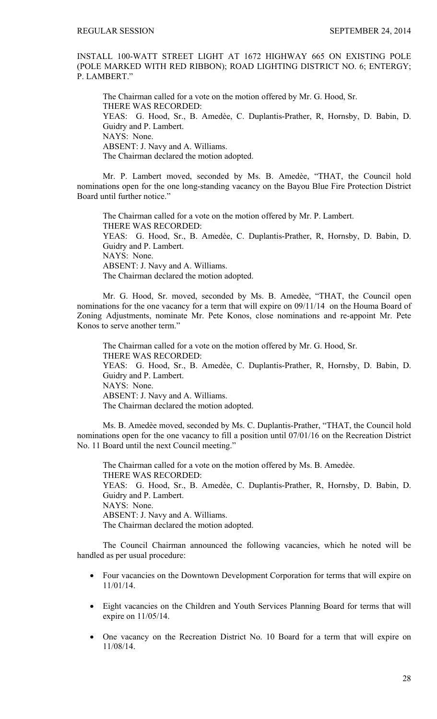INSTALL 100-WATT STREET LIGHT AT 1672 HIGHWAY 665 ON EXISTING POLE (POLE MARKED WITH RED RIBBON); ROAD LIGHTING DISTRICT NO. 6; ENTERGY; P. LAMBERT."

The Chairman called for a vote on the motion offered by Mr. G. Hood, Sr. THERE WAS RECORDED: YEAS: G. Hood, Sr., B. Amedèe, C. Duplantis-Prather, R, Hornsby, D. Babin, D. Guidry and P. Lambert. NAYS: None. ABSENT: J. Navy and A. Williams. The Chairman declared the motion adopted.

Mr. P. Lambert moved, seconded by Ms. B. Amedèe, "THAT, the Council hold nominations open for the one long-standing vacancy on the Bayou Blue Fire Protection District Board until further notice."

The Chairman called for a vote on the motion offered by Mr. P. Lambert. THERE WAS RECORDED: YEAS: G. Hood, Sr., B. Amedèe, C. Duplantis-Prather, R, Hornsby, D. Babin, D. Guidry and P. Lambert. NAYS: None. ABSENT: J. Navy and A. Williams. The Chairman declared the motion adopted.

Mr. G. Hood, Sr. moved, seconded by Ms. B. Amedèe, "THAT, the Council open nominations for the one vacancy for a term that will expire on 09/11/14 on the Houma Board of Zoning Adjustments, nominate Mr. Pete Konos, close nominations and re-appoint Mr. Pete Konos to serve another term."

The Chairman called for a vote on the motion offered by Mr. G. Hood, Sr. THERE WAS RECORDED: YEAS: G. Hood, Sr., B. Amedèe, C. Duplantis-Prather, R, Hornsby, D. Babin, D. Guidry and P. Lambert. NAYS: None. ABSENT: J. Navy and A. Williams. The Chairman declared the motion adopted.

Ms. B. Amedѐe moved, seconded by Ms. C. Duplantis-Prather, "THAT, the Council hold nominations open for the one vacancy to fill a position until 07/01/16 on the Recreation District No. 11 Board until the next Council meeting."

The Chairman called for a vote on the motion offered by Ms. B. Amedèe. THERE WAS RECORDED: YEAS: G. Hood, Sr., B. Amedѐe, C. Duplantis-Prather, R, Hornsby, D. Babin, D. Guidry and P. Lambert. NAYS: None. ABSENT: J. Navy and A. Williams. The Chairman declared the motion adopted.

The Council Chairman announced the following vacancies, which he noted will be handled as per usual procedure:

- Four vacancies on the Downtown Development Corporation for terms that will expire on 11/01/14.
- Eight vacancies on the Children and Youth Services Planning Board for terms that will expire on 11/05/14.
- One vacancy on the Recreation District No. 10 Board for a term that will expire on 11/08/14.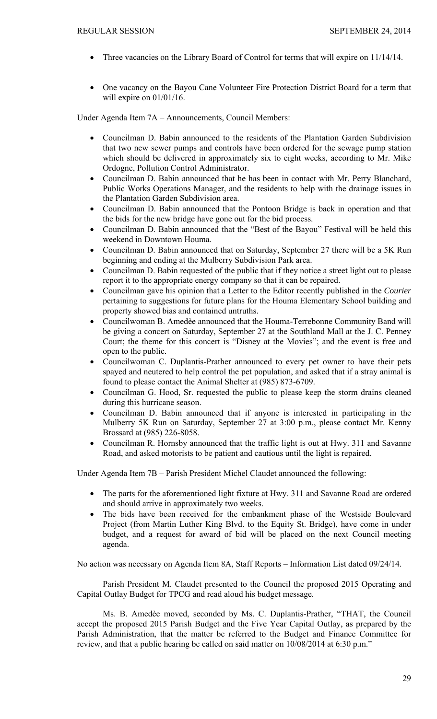- Three vacancies on the Library Board of Control for terms that will expire on 11/14/14.
- One vacancy on the Bayou Cane Volunteer Fire Protection District Board for a term that will expire on 01/01/16.

Under Agenda Item 7A – Announcements, Council Members:

- Councilman D. Babin announced to the residents of the Plantation Garden Subdivision that two new sewer pumps and controls have been ordered for the sewage pump station which should be delivered in approximately six to eight weeks, according to Mr. Mike Ordogne, Pollution Control Administrator.
- Councilman D. Babin announced that he has been in contact with Mr. Perry Blanchard, Public Works Operations Manager, and the residents to help with the drainage issues in the Plantation Garden Subdivision area.
- Councilman D. Babin announced that the Pontoon Bridge is back in operation and that the bids for the new bridge have gone out for the bid process.
- Councilman D. Babin announced that the "Best of the Bayou" Festival will be held this weekend in Downtown Houma.
- Councilman D. Babin announced that on Saturday, September 27 there will be a 5K Run beginning and ending at the Mulberry Subdivision Park area.
- Councilman D. Babin requested of the public that if they notice a street light out to please report it to the appropriate energy company so that it can be repaired.
- Councilman gave his opinion that a Letter to the Editor recently published in the *Courier*  pertaining to suggestions for future plans for the Houma Elementary School building and property showed bias and contained untruths.
- Councilwoman B. Amedèe announced that the Houma-Terrebonne Community Band will be giving a concert on Saturday, September 27 at the Southland Mall at the J. C. Penney Court; the theme for this concert is "Disney at the Movies"; and the event is free and open to the public.
- Councilwoman C. Duplantis-Prather announced to every pet owner to have their pets spayed and neutered to help control the pet population, and asked that if a stray animal is found to please contact the Animal Shelter at (985) 873-6709.
- Councilman G. Hood, Sr. requested the public to please keep the storm drains cleaned during this hurricane season.
- Councilman D. Babin announced that if anyone is interested in participating in the Mulberry 5K Run on Saturday, September 27 at 3:00 p.m., please contact Mr. Kenny Brossard at (985) 226-8058.
- Councilman R. Hornsby announced that the traffic light is out at Hwy. 311 and Savanne Road, and asked motorists to be patient and cautious until the light is repaired.

Under Agenda Item 7B – Parish President Michel Claudet announced the following:

- The parts for the aforementioned light fixture at Hwy. 311 and Savanne Road are ordered and should arrive in approximately two weeks.
- The bids have been received for the embankment phase of the Westside Boulevard Project (from Martin Luther King Blvd. to the Equity St. Bridge), have come in under budget, and a request for award of bid will be placed on the next Council meeting agenda.

No action was necessary on Agenda Item 8A, Staff Reports – Information List dated 09/24/14.

Parish President M. Claudet presented to the Council the proposed 2015 Operating and Capital Outlay Budget for TPCG and read aloud his budget message.

Ms. B. Amedѐe moved, seconded by Ms. C. Duplantis-Prather, "THAT, the Council accept the proposed 2015 Parish Budget and the Five Year Capital Outlay, as prepared by the Parish Administration, that the matter be referred to the Budget and Finance Committee for review, and that a public hearing be called on said matter on 10/08/2014 at 6:30 p.m."